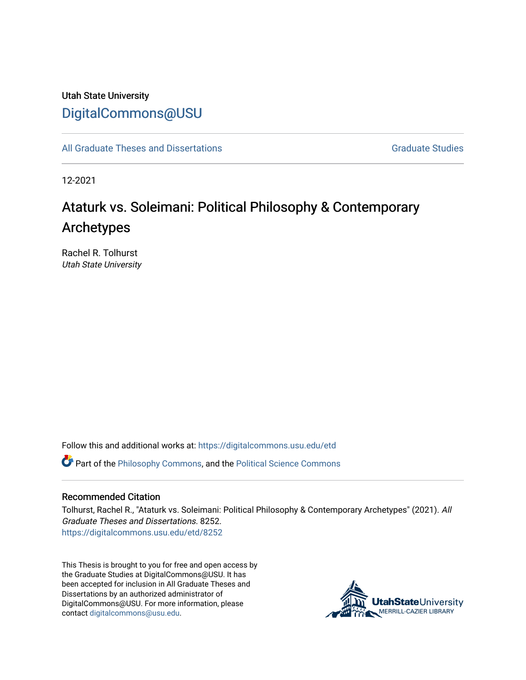## Utah State University [DigitalCommons@USU](https://digitalcommons.usu.edu/)

[All Graduate Theses and Dissertations](https://digitalcommons.usu.edu/etd) [Graduate Studies](https://digitalcommons.usu.edu/gradstudies) Graduate Studies

12-2021

# Ataturk vs. Soleimani: Political Philosophy & Contemporary Archetypes

Rachel R. Tolhurst Utah State University

Follow this and additional works at: [https://digitalcommons.usu.edu/etd](https://digitalcommons.usu.edu/etd?utm_source=digitalcommons.usu.edu%2Fetd%2F8252&utm_medium=PDF&utm_campaign=PDFCoverPages) 

Part of the [Philosophy Commons,](http://network.bepress.com/hgg/discipline/525?utm_source=digitalcommons.usu.edu%2Fetd%2F8252&utm_medium=PDF&utm_campaign=PDFCoverPages) and the [Political Science Commons](http://network.bepress.com/hgg/discipline/386?utm_source=digitalcommons.usu.edu%2Fetd%2F8252&utm_medium=PDF&utm_campaign=PDFCoverPages) 

#### Recommended Citation

Tolhurst, Rachel R., "Ataturk vs. Soleimani: Political Philosophy & Contemporary Archetypes" (2021). All Graduate Theses and Dissertations. 8252. [https://digitalcommons.usu.edu/etd/8252](https://digitalcommons.usu.edu/etd/8252?utm_source=digitalcommons.usu.edu%2Fetd%2F8252&utm_medium=PDF&utm_campaign=PDFCoverPages)

This Thesis is brought to you for free and open access by the Graduate Studies at DigitalCommons@USU. It has been accepted for inclusion in All Graduate Theses and Dissertations by an authorized administrator of DigitalCommons@USU. For more information, please contact [digitalcommons@usu.edu](mailto:digitalcommons@usu.edu).

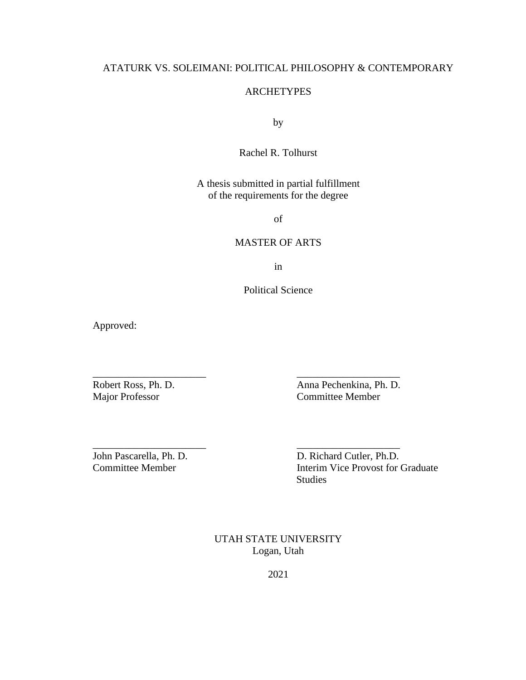## ATATURK VS. SOLEIMANI: POLITICAL PHILOSOPHY & CONTEMPORARY

#### **ARCHETYPES**

by

## Rachel R. Tolhurst

## A thesis submitted in partial fulfillment of the requirements for the degree

of

### MASTER OF ARTS

in

Political Science

\_\_\_\_\_\_\_\_\_\_\_\_\_\_\_\_\_\_\_\_\_\_ \_\_\_\_\_\_\_\_\_\_\_\_\_\_\_\_\_\_\_\_

\_\_\_\_\_\_\_\_\_\_\_\_\_\_\_\_\_\_\_\_\_\_ \_\_\_\_\_\_\_\_\_\_\_\_\_\_\_\_\_\_\_\_

Approved:

Robert Ross, Ph. D.<br>
Major Professor<br>
Committee Member Committee Member

John Pascarella, Ph. D. D. Richard Cutler, Ph.D. Committee Member Interim Vice Provost for Graduate Studies

> UTAH STATE UNIVERSITY Logan, Utah

> > 2021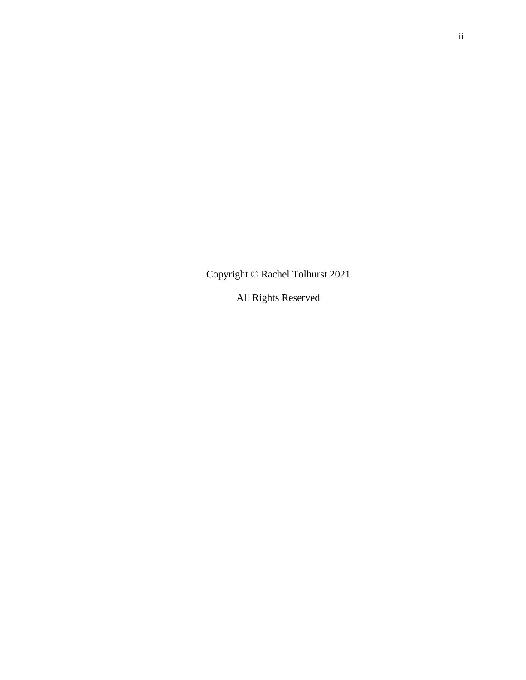Copyright © Rachel Tolhurst 2021

All Rights Reserved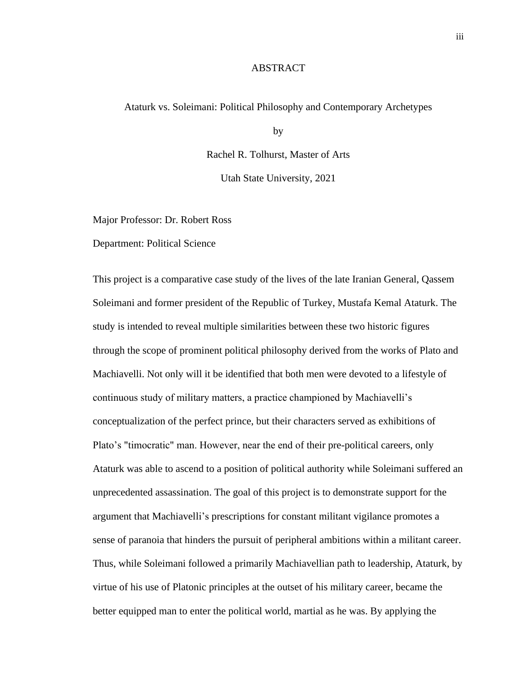#### ABSTRACT

#### Ataturk vs. Soleimani: Political Philosophy and Contemporary Archetypes

by

Rachel R. Tolhurst, Master of Arts

Utah State University, 2021

Major Professor: Dr. Robert Ross

Department: Political Science

This project is a comparative case study of the lives of the late Iranian General, Qassem Soleimani and former president of the Republic of Turkey, Mustafa Kemal Ataturk. The study is intended to reveal multiple similarities between these two historic figures through the scope of prominent political philosophy derived from the works of Plato and Machiavelli. Not only will it be identified that both men were devoted to a lifestyle of continuous study of military matters, a practice championed by Machiavelli's conceptualization of the perfect prince, but their characters served as exhibitions of Plato's "timocratic" man. However, near the end of their pre-political careers, only Ataturk was able to ascend to a position of political authority while Soleimani suffered an unprecedented assassination. The goal of this project is to demonstrate support for the argument that Machiavelli's prescriptions for constant militant vigilance promotes a sense of paranoia that hinders the pursuit of peripheral ambitions within a militant career. Thus, while Soleimani followed a primarily Machiavellian path to leadership, Ataturk, by virtue of his use of Platonic principles at the outset of his military career, became the better equipped man to enter the political world, martial as he was. By applying the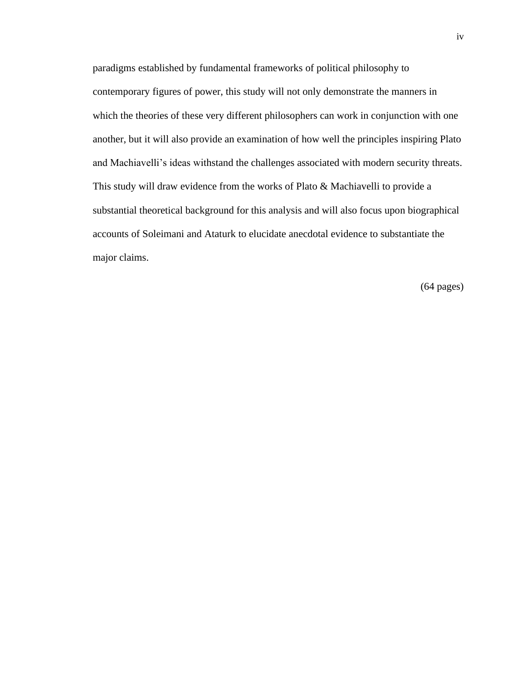paradigms established by fundamental frameworks of political philosophy to contemporary figures of power, this study will not only demonstrate the manners in which the theories of these very different philosophers can work in conjunction with one another, but it will also provide an examination of how well the principles inspiring Plato and Machiavelli's ideas withstand the challenges associated with modern security threats. This study will draw evidence from the works of Plato & Machiavelli to provide a substantial theoretical background for this analysis and will also focus upon biographical accounts of Soleimani and Ataturk to elucidate anecdotal evidence to substantiate the major claims.

(64 pages)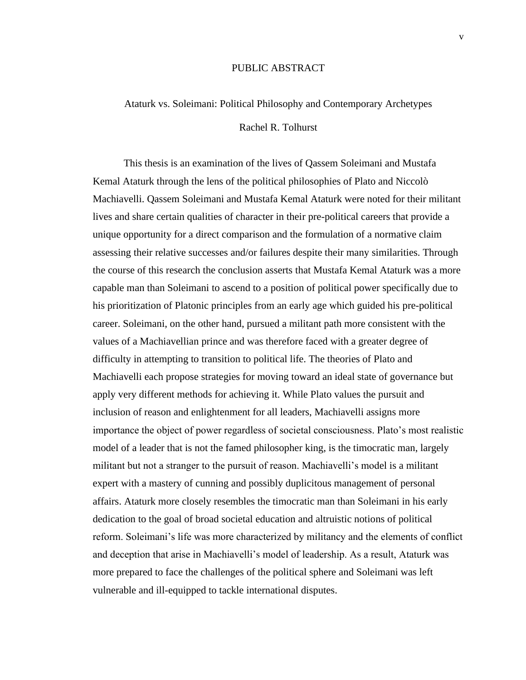#### PUBLIC ABSTRACT

## Ataturk vs. Soleimani: Political Philosophy and Contemporary Archetypes Rachel R. Tolhurst

This thesis is an examination of the lives of Qassem Soleimani and Mustafa Kemal Ataturk through the lens of the political philosophies of Plato and Niccolò Machiavelli. Qassem Soleimani and Mustafa Kemal Ataturk were noted for their militant lives and share certain qualities of character in their pre-political careers that provide a unique opportunity for a direct comparison and the formulation of a normative claim assessing their relative successes and/or failures despite their many similarities. Through the course of this research the conclusion asserts that Mustafa Kemal Ataturk was a more capable man than Soleimani to ascend to a position of political power specifically due to his prioritization of Platonic principles from an early age which guided his pre-political career. Soleimani, on the other hand, pursued a militant path more consistent with the values of a Machiavellian prince and was therefore faced with a greater degree of difficulty in attempting to transition to political life. The theories of Plato and Machiavelli each propose strategies for moving toward an ideal state of governance but apply very different methods for achieving it. While Plato values the pursuit and inclusion of reason and enlightenment for all leaders, Machiavelli assigns more importance the object of power regardless of societal consciousness. Plato's most realistic model of a leader that is not the famed philosopher king, is the timocratic man, largely militant but not a stranger to the pursuit of reason. Machiavelli's model is a militant expert with a mastery of cunning and possibly duplicitous management of personal affairs. Ataturk more closely resembles the timocratic man than Soleimani in his early dedication to the goal of broad societal education and altruistic notions of political reform. Soleimani's life was more characterized by militancy and the elements of conflict and deception that arise in Machiavelli's model of leadership. As a result, Ataturk was more prepared to face the challenges of the political sphere and Soleimani was left vulnerable and ill-equipped to tackle international disputes.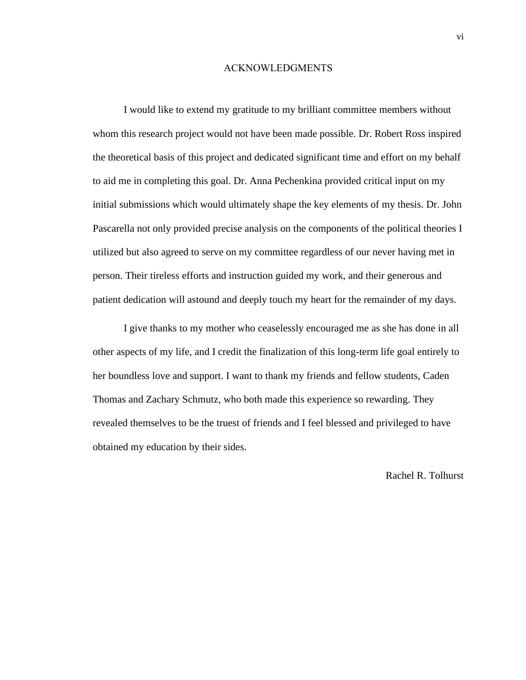#### ACKNOWLEDGMENTS

I would like to extend my gratitude to my brilliant committee members without whom this research project would not have been made possible. Dr. Robert Ross inspired the theoretical basis of this project and dedicated significant time and effort on my behalf to aid me in completing this goal. Dr. Anna Pechenkina provided critical input on my initial submissions which would ultimately shape the key elements of my thesis. Dr. John Pascarella not only provided precise analysis on the components of the political theories I utilized but also agreed to serve on my committee regardless of our never having met in person. Their tireless efforts and instruction guided my work, and their generous and patient dedication will astound and deeply touch my heart for the remainder of my days.

I give thanks to my mother who ceaselessly encouraged me as she has done in all other aspects of my life, and I credit the finalization of this long-term life goal entirely to her boundless love and support. I want to thank my friends and fellow students, Caden Thomas and Zachary Schmutz, who both made this experience so rewarding. They revealed themselves to be the truest of friends and I feel blessed and privileged to have obtained my education by their sides.

Rachel R. Tolhurst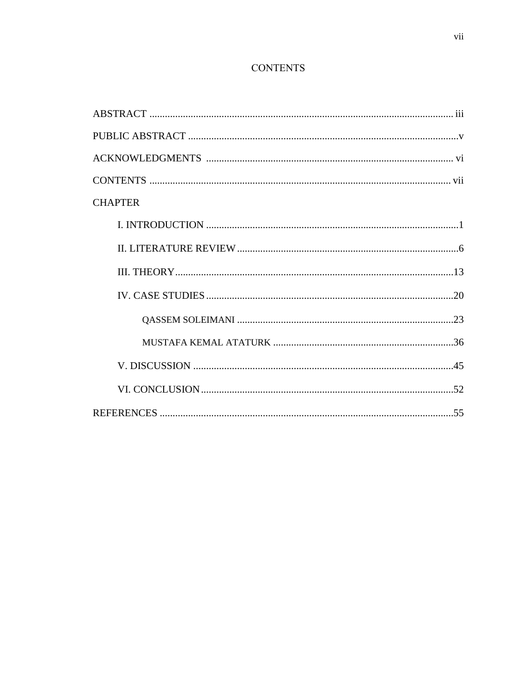## **CONTENTS**

| <b>CHAPTER</b> |
|----------------|
|                |
|                |
|                |
|                |
|                |
|                |
|                |
|                |
|                |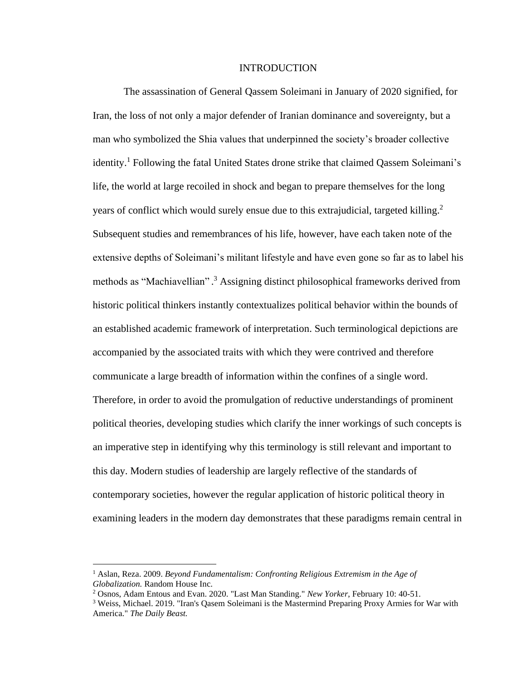#### INTRODUCTION

The assassination of General Qassem Soleimani in January of 2020 signified, for Iran, the loss of not only a major defender of Iranian dominance and sovereignty, but a man who symbolized the Shia values that underpinned the society's broader collective identity.<sup>1</sup> Following the fatal United States drone strike that claimed Qassem Soleimani's life, the world at large recoiled in shock and began to prepare themselves for the long years of conflict which would surely ensue due to this extrajudicial, targeted killing. 2 Subsequent studies and remembrances of his life, however, have each taken note of the extensive depths of Soleimani's militant lifestyle and have even gone so far as to label his methods as "Machiavellian".<sup>3</sup> Assigning distinct philosophical frameworks derived from historic political thinkers instantly contextualizes political behavior within the bounds of an established academic framework of interpretation. Such terminological depictions are accompanied by the associated traits with which they were contrived and therefore communicate a large breadth of information within the confines of a single word. Therefore, in order to avoid the promulgation of reductive understandings of prominent political theories, developing studies which clarify the inner workings of such concepts is an imperative step in identifying why this terminology is still relevant and important to this day. Modern studies of leadership are largely reflective of the standards of contemporary societies, however the regular application of historic political theory in examining leaders in the modern day demonstrates that these paradigms remain central in

<sup>1</sup> Aslan, Reza. 2009. *Beyond Fundamentalism: Confronting Religious Extremism in the Age of Globalization.* Random House Inc.

<sup>2</sup> Osnos, Adam Entous and Evan. 2020. "Last Man Standing." *New Yorker*, February 10: 40-51.

<sup>&</sup>lt;sup>3</sup> Weiss, Michael. 2019. "Iran's Qasem Soleimani is the Mastermind Preparing Proxy Armies for War with America." *The Daily Beast.*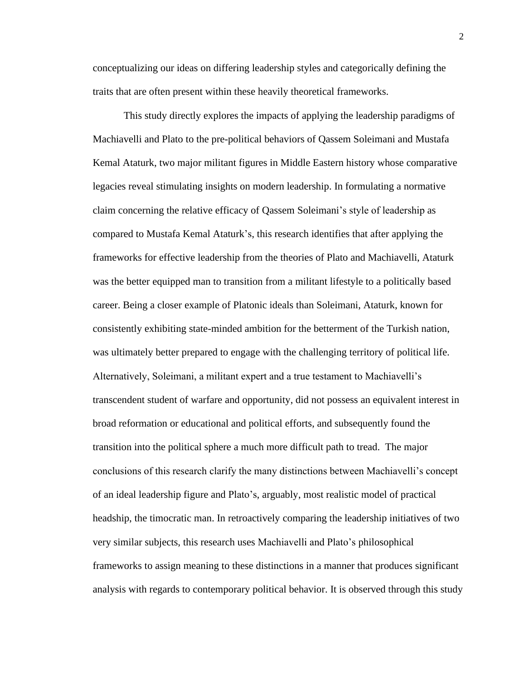conceptualizing our ideas on differing leadership styles and categorically defining the traits that are often present within these heavily theoretical frameworks.

This study directly explores the impacts of applying the leadership paradigms of Machiavelli and Plato to the pre-political behaviors of Qassem Soleimani and Mustafa Kemal Ataturk, two major militant figures in Middle Eastern history whose comparative legacies reveal stimulating insights on modern leadership. In formulating a normative claim concerning the relative efficacy of Qassem Soleimani's style of leadership as compared to Mustafa Kemal Ataturk's, this research identifies that after applying the frameworks for effective leadership from the theories of Plato and Machiavelli, Ataturk was the better equipped man to transition from a militant lifestyle to a politically based career. Being a closer example of Platonic ideals than Soleimani, Ataturk, known for consistently exhibiting state-minded ambition for the betterment of the Turkish nation, was ultimately better prepared to engage with the challenging territory of political life. Alternatively, Soleimani, a militant expert and a true testament to Machiavelli's transcendent student of warfare and opportunity, did not possess an equivalent interest in broad reformation or educational and political efforts, and subsequently found the transition into the political sphere a much more difficult path to tread. The major conclusions of this research clarify the many distinctions between Machiavelli's concept of an ideal leadership figure and Plato's, arguably, most realistic model of practical headship, the timocratic man. In retroactively comparing the leadership initiatives of two very similar subjects, this research uses Machiavelli and Plato's philosophical frameworks to assign meaning to these distinctions in a manner that produces significant analysis with regards to contemporary political behavior. It is observed through this study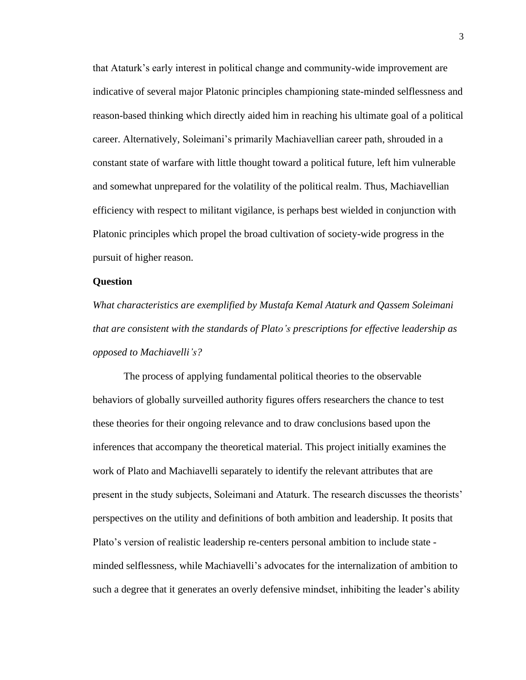that Ataturk's early interest in political change and community-wide improvement are indicative of several major Platonic principles championing state-minded selflessness and reason-based thinking which directly aided him in reaching his ultimate goal of a political career. Alternatively, Soleimani's primarily Machiavellian career path, shrouded in a constant state of warfare with little thought toward a political future, left him vulnerable and somewhat unprepared for the volatility of the political realm. Thus, Machiavellian efficiency with respect to militant vigilance, is perhaps best wielded in conjunction with Platonic principles which propel the broad cultivation of society-wide progress in the pursuit of higher reason.

#### **Question**

*What characteristics are exemplified by Mustafa Kemal Ataturk and Qassem Soleimani that are consistent with the standards of Plato's prescriptions for effective leadership as opposed to Machiavelli's?* 

The process of applying fundamental political theories to the observable behaviors of globally surveilled authority figures offers researchers the chance to test these theories for their ongoing relevance and to draw conclusions based upon the inferences that accompany the theoretical material. This project initially examines the work of Plato and Machiavelli separately to identify the relevant attributes that are present in the study subjects, Soleimani and Ataturk. The research discusses the theorists' perspectives on the utility and definitions of both ambition and leadership. It posits that Plato's version of realistic leadership re-centers personal ambition to include state minded selflessness, while Machiavelli's advocates for the internalization of ambition to such a degree that it generates an overly defensive mindset, inhibiting the leader's ability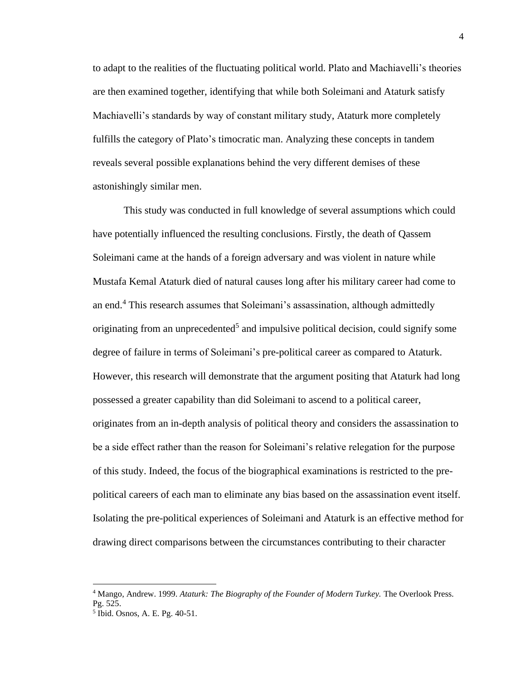to adapt to the realities of the fluctuating political world. Plato and Machiavelli's theories are then examined together, identifying that while both Soleimani and Ataturk satisfy Machiavelli's standards by way of constant military study, Ataturk more completely fulfills the category of Plato's timocratic man. Analyzing these concepts in tandem reveals several possible explanations behind the very different demises of these astonishingly similar men.

This study was conducted in full knowledge of several assumptions which could have potentially influenced the resulting conclusions. Firstly, the death of Qassem Soleimani came at the hands of a foreign adversary and was violent in nature while Mustafa Kemal Ataturk died of natural causes long after his military career had come to an end. <sup>4</sup> This research assumes that Soleimani's assassination, although admittedly originating from an unprecedented<sup>5</sup> and impulsive political decision, could signify some degree of failure in terms of Soleimani's pre-political career as compared to Ataturk. However, this research will demonstrate that the argument positing that Ataturk had long possessed a greater capability than did Soleimani to ascend to a political career, originates from an in-depth analysis of political theory and considers the assassination to be a side effect rather than the reason for Soleimani's relative relegation for the purpose of this study. Indeed, the focus of the biographical examinations is restricted to the prepolitical careers of each man to eliminate any bias based on the assassination event itself. Isolating the pre-political experiences of Soleimani and Ataturk is an effective method for drawing direct comparisons between the circumstances contributing to their character

<sup>4</sup> Mango, Andrew. 1999. *Ataturk: The Biography of the Founder of Modern Turkey.* The Overlook Press. Pg. 525.

<sup>5</sup> Ibid. Osnos, A. E. Pg. 40-51.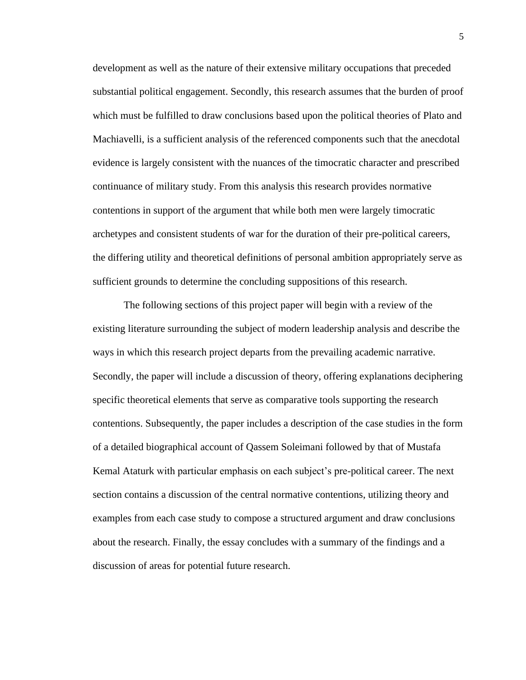development as well as the nature of their extensive military occupations that preceded substantial political engagement. Secondly, this research assumes that the burden of proof which must be fulfilled to draw conclusions based upon the political theories of Plato and Machiavelli, is a sufficient analysis of the referenced components such that the anecdotal evidence is largely consistent with the nuances of the timocratic character and prescribed continuance of military study. From this analysis this research provides normative contentions in support of the argument that while both men were largely timocratic archetypes and consistent students of war for the duration of their pre-political careers, the differing utility and theoretical definitions of personal ambition appropriately serve as sufficient grounds to determine the concluding suppositions of this research.

The following sections of this project paper will begin with a review of the existing literature surrounding the subject of modern leadership analysis and describe the ways in which this research project departs from the prevailing academic narrative. Secondly, the paper will include a discussion of theory, offering explanations deciphering specific theoretical elements that serve as comparative tools supporting the research contentions. Subsequently, the paper includes a description of the case studies in the form of a detailed biographical account of Qassem Soleimani followed by that of Mustafa Kemal Ataturk with particular emphasis on each subject's pre-political career. The next section contains a discussion of the central normative contentions, utilizing theory and examples from each case study to compose a structured argument and draw conclusions about the research. Finally, the essay concludes with a summary of the findings and a discussion of areas for potential future research.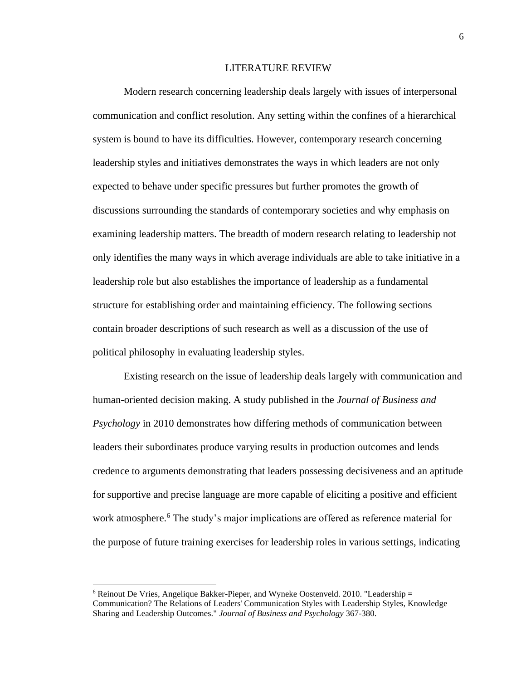#### LITERATURE REVIEW

Modern research concerning leadership deals largely with issues of interpersonal communication and conflict resolution. Any setting within the confines of a hierarchical system is bound to have its difficulties. However, contemporary research concerning leadership styles and initiatives demonstrates the ways in which leaders are not only expected to behave under specific pressures but further promotes the growth of discussions surrounding the standards of contemporary societies and why emphasis on examining leadership matters. The breadth of modern research relating to leadership not only identifies the many ways in which average individuals are able to take initiative in a leadership role but also establishes the importance of leadership as a fundamental structure for establishing order and maintaining efficiency. The following sections contain broader descriptions of such research as well as a discussion of the use of political philosophy in evaluating leadership styles.

Existing research on the issue of leadership deals largely with communication and human-oriented decision making. A study published in the *Journal of Business and Psychology* in 2010 demonstrates how differing methods of communication between leaders their subordinates produce varying results in production outcomes and lends credence to arguments demonstrating that leaders possessing decisiveness and an aptitude for supportive and precise language are more capable of eliciting a positive and efficient work atmosphere. <sup>6</sup> The study's major implications are offered as reference material for the purpose of future training exercises for leadership roles in various settings, indicating

 $6$  Reinout De Vries, Angelique Bakker-Pieper, and Wyneke Oostenveld. 2010. "Leadership  $=$ Communication? The Relations of Leaders' Communication Styles with Leadership Styles, Knowledge Sharing and Leadership Outcomes." *Journal of Business and Psychology* 367-380.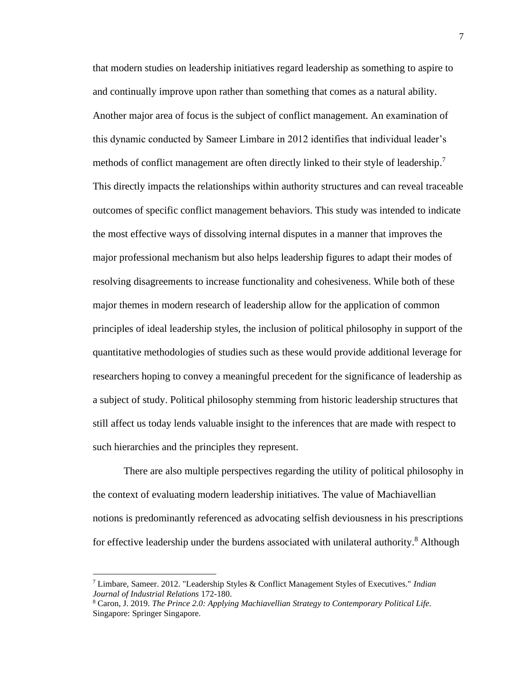that modern studies on leadership initiatives regard leadership as something to aspire to and continually improve upon rather than something that comes as a natural ability. Another major area of focus is the subject of conflict management. An examination of this dynamic conducted by Sameer Limbare in 2012 identifies that individual leader's methods of conflict management are often directly linked to their style of leadership.<sup>7</sup> This directly impacts the relationships within authority structures and can reveal traceable outcomes of specific conflict management behaviors. This study was intended to indicate the most effective ways of dissolving internal disputes in a manner that improves the major professional mechanism but also helps leadership figures to adapt their modes of resolving disagreements to increase functionality and cohesiveness. While both of these major themes in modern research of leadership allow for the application of common principles of ideal leadership styles, the inclusion of political philosophy in support of the quantitative methodologies of studies such as these would provide additional leverage for researchers hoping to convey a meaningful precedent for the significance of leadership as a subject of study. Political philosophy stemming from historic leadership structures that still affect us today lends valuable insight to the inferences that are made with respect to such hierarchies and the principles they represent.

There are also multiple perspectives regarding the utility of political philosophy in the context of evaluating modern leadership initiatives. The value of Machiavellian notions is predominantly referenced as advocating selfish deviousness in his prescriptions for effective leadership under the burdens associated with unilateral authority. <sup>8</sup> Although

<sup>7</sup> Limbare, Sameer. 2012. "Leadership Styles & Conflict Management Styles of Executives." *Indian Journal of Industrial Relations* 172-180.

<sup>8</sup> Caron, J. 2019. *The Prince 2.0: Applying Machiavellian Strategy to Contemporary Political Life.* Singapore: Springer Singapore.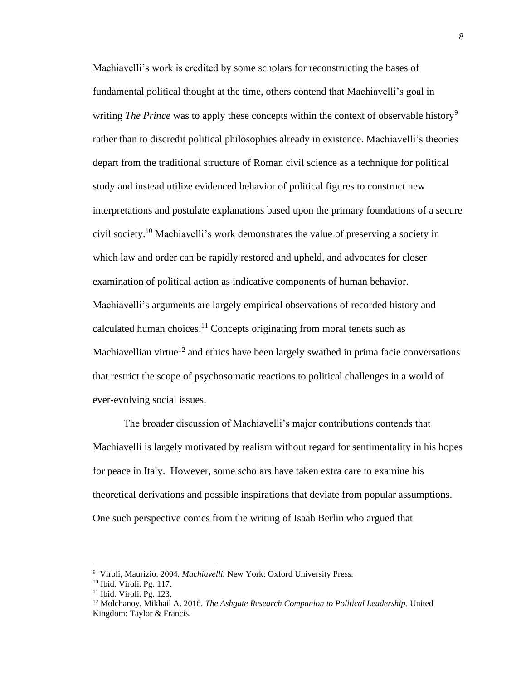Machiavelli's work is credited by some scholars for reconstructing the bases of fundamental political thought at the time, others contend that Machiavelli's goal in writing *The Prince* was to apply these concepts within the context of observable history<sup>9</sup> rather than to discredit political philosophies already in existence. Machiavelli's theories depart from the traditional structure of Roman civil science as a technique for political study and instead utilize evidenced behavior of political figures to construct new interpretations and postulate explanations based upon the primary foundations of a secure civil society. <sup>10</sup> Machiavelli's work demonstrates the value of preserving a society in which law and order can be rapidly restored and upheld, and advocates for closer examination of political action as indicative components of human behavior. Machiavelli's arguments are largely empirical observations of recorded history and calculated human choices. $11$  Concepts originating from moral tenets such as Machiavellian virtue<sup>12</sup> and ethics have been largely swathed in prima facie conversations that restrict the scope of psychosomatic reactions to political challenges in a world of ever-evolving social issues.

The broader discussion of Machiavelli's major contributions contends that Machiavelli is largely motivated by realism without regard for sentimentality in his hopes for peace in Italy. However, some scholars have taken extra care to examine his theoretical derivations and possible inspirations that deviate from popular assumptions. One such perspective comes from the writing of Isaah Berlin who argued that

<sup>9</sup> Viroli, Maurizio. 2004. *Machiavelli.* New York: Oxford University Press.

<sup>10</sup> Ibid. Viroli. Pg. 117.

<sup>11</sup> Ibid. Viroli. Pg. 123.

<sup>12</sup> Molchanoy, Mikhail A. 2016. *The Ashgate Research Companion to Political Leadership.* United Kingdom: Taylor & Francis.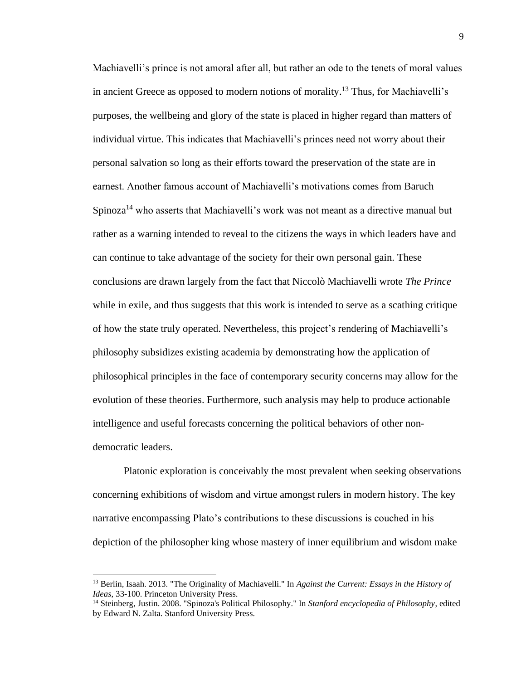Machiavelli's prince is not amoral after all, but rather an ode to the tenets of moral values in ancient Greece as opposed to modern notions of morality.<sup>13</sup> Thus, for Machiavelli's purposes, the wellbeing and glory of the state is placed in higher regard than matters of individual virtue. This indicates that Machiavelli's princes need not worry about their personal salvation so long as their efforts toward the preservation of the state are in earnest. Another famous account of Machiavelli's motivations comes from Baruch Spinoza<sup>14</sup> who asserts that Machiavelli's work was not meant as a directive manual but rather as a warning intended to reveal to the citizens the ways in which leaders have and can continue to take advantage of the society for their own personal gain. These conclusions are drawn largely from the fact that Niccolò Machiavelli wrote *The Prince* while in exile, and thus suggests that this work is intended to serve as a scathing critique of how the state truly operated. Nevertheless, this project's rendering of Machiavelli's philosophy subsidizes existing academia by demonstrating how the application of philosophical principles in the face of contemporary security concerns may allow for the evolution of these theories. Furthermore, such analysis may help to produce actionable intelligence and useful forecasts concerning the political behaviors of other nondemocratic leaders.

Platonic exploration is conceivably the most prevalent when seeking observations concerning exhibitions of wisdom and virtue amongst rulers in modern history. The key narrative encompassing Plato's contributions to these discussions is couched in his depiction of the philosopher king whose mastery of inner equilibrium and wisdom make

<sup>13</sup> Berlin, Isaah. 2013. "The Originality of Machiavelli." In *Against the Current: Essays in the History of Ideas*, 33-100. Princeton University Press.

<sup>14</sup> Steinberg, Justin. 2008. "Spinoza's Political Philosophy." In *Stanford encyclopedia of Philosophy*, edited by Edward N. Zalta. Stanford University Press.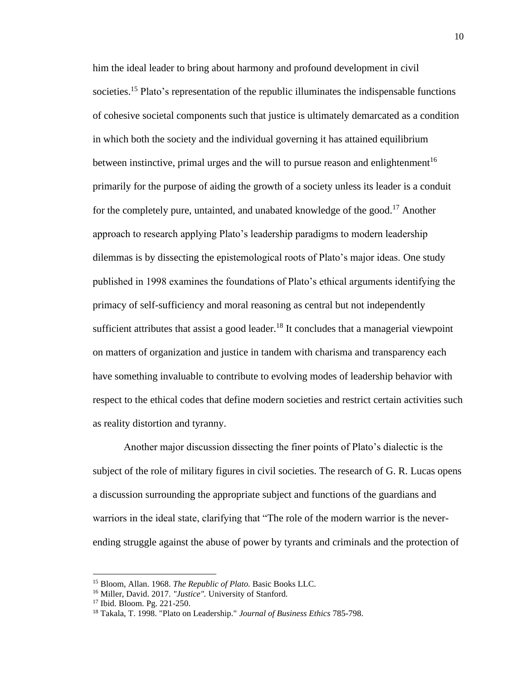him the ideal leader to bring about harmony and profound development in civil societies.<sup>15</sup> Plato's representation of the republic illuminates the indispensable functions of cohesive societal components such that justice is ultimately demarcated as a condition in which both the society and the individual governing it has attained equilibrium between instinctive, primal urges and the will to pursue reason and enlightenment<sup>16</sup> primarily for the purpose of aiding the growth of a society unless its leader is a conduit for the completely pure, untainted, and unabated knowledge of the good.<sup>17</sup> Another approach to research applying Plato's leadership paradigms to modern leadership dilemmas is by dissecting the epistemological roots of Plato's major ideas. One study published in 1998 examines the foundations of Plato's ethical arguments identifying the primacy of self-sufficiency and moral reasoning as central but not independently sufficient attributes that assist a good leader.<sup>18</sup> It concludes that a managerial viewpoint on matters of organization and justice in tandem with charisma and transparency each have something invaluable to contribute to evolving modes of leadership behavior with respect to the ethical codes that define modern societies and restrict certain activities such as reality distortion and tyranny.

Another major discussion dissecting the finer points of Plato's dialectic is the subject of the role of military figures in civil societies. The research of G. R. Lucas opens a discussion surrounding the appropriate subject and functions of the guardians and warriors in the ideal state, clarifying that "The role of the modern warrior is the neverending struggle against the abuse of power by tyrants and criminals and the protection of

<sup>15</sup> Bloom, Allan. 1968. *The Republic of Plato.* Basic Books LLC.

<sup>16</sup> Miller, David. 2017. *"Justice".* University of Stanford.

<sup>17</sup> Ibid. Bloom. Pg. 221-250.

<sup>18</sup> Takala, T. 1998. "Plato on Leadership." *Journal of Business Ethics* 785-798.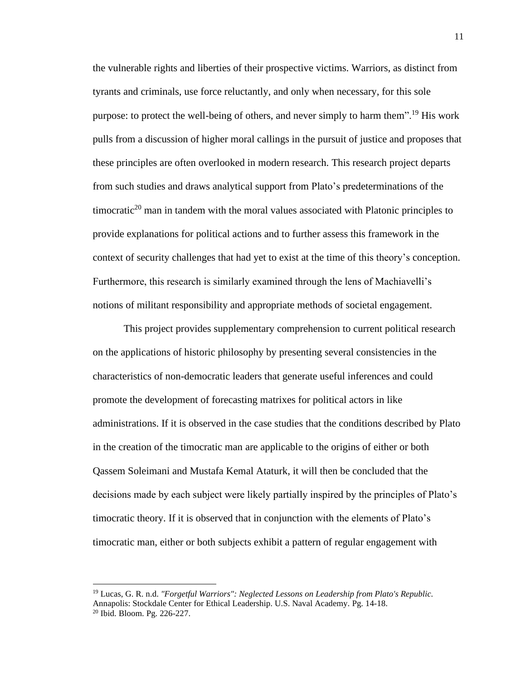the vulnerable rights and liberties of their prospective victims. Warriors, as distinct from tyrants and criminals, use force reluctantly, and only when necessary, for this sole purpose: to protect the well-being of others, and never simply to harm them".<sup>19</sup> His work pulls from a discussion of higher moral callings in the pursuit of justice and proposes that these principles are often overlooked in modern research. This research project departs from such studies and draws analytical support from Plato's predeterminations of the timocratic<sup>20</sup> man in tandem with the moral values associated with Platonic principles to provide explanations for political actions and to further assess this framework in the context of security challenges that had yet to exist at the time of this theory's conception. Furthermore, this research is similarly examined through the lens of Machiavelli's notions of militant responsibility and appropriate methods of societal engagement.

This project provides supplementary comprehension to current political research on the applications of historic philosophy by presenting several consistencies in the characteristics of non-democratic leaders that generate useful inferences and could promote the development of forecasting matrixes for political actors in like administrations. If it is observed in the case studies that the conditions described by Plato in the creation of the timocratic man are applicable to the origins of either or both Qassem Soleimani and Mustafa Kemal Ataturk, it will then be concluded that the decisions made by each subject were likely partially inspired by the principles of Plato's timocratic theory. If it is observed that in conjunction with the elements of Plato's timocratic man, either or both subjects exhibit a pattern of regular engagement with

<sup>19</sup> Lucas, G. R. n.d. *"Forgetful Warriors": Neglected Lessons on Leadership from Plato's Republic.* Annapolis: Stockdale Center for Ethical Leadership. U.S. Naval Academy. Pg. 14-18. <sup>20</sup> Ibid. Bloom. Pg. 226-227.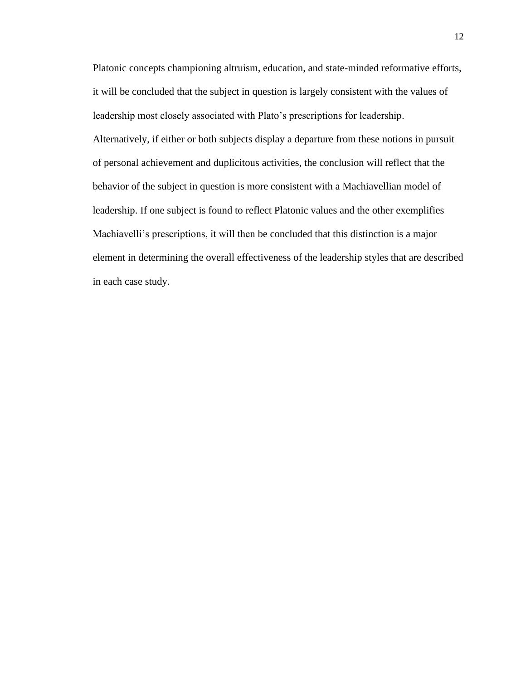Platonic concepts championing altruism, education, and state-minded reformative efforts, it will be concluded that the subject in question is largely consistent with the values of leadership most closely associated with Plato's prescriptions for leadership. Alternatively, if either or both subjects display a departure from these notions in pursuit of personal achievement and duplicitous activities, the conclusion will reflect that the behavior of the subject in question is more consistent with a Machiavellian model of leadership. If one subject is found to reflect Platonic values and the other exemplifies Machiavelli's prescriptions, it will then be concluded that this distinction is a major element in determining the overall effectiveness of the leadership styles that are described in each case study.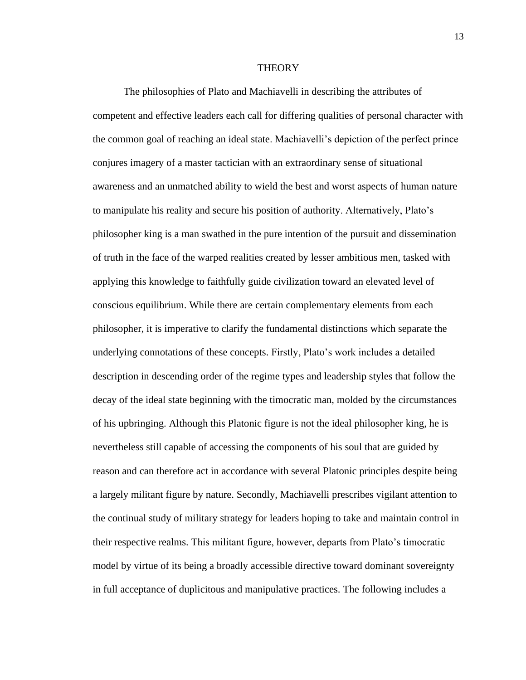#### **THEORY**

The philosophies of Plato and Machiavelli in describing the attributes of competent and effective leaders each call for differing qualities of personal character with the common goal of reaching an ideal state. Machiavelli's depiction of the perfect prince conjures imagery of a master tactician with an extraordinary sense of situational awareness and an unmatched ability to wield the best and worst aspects of human nature to manipulate his reality and secure his position of authority. Alternatively, Plato's philosopher king is a man swathed in the pure intention of the pursuit and dissemination of truth in the face of the warped realities created by lesser ambitious men, tasked with applying this knowledge to faithfully guide civilization toward an elevated level of conscious equilibrium. While there are certain complementary elements from each philosopher, it is imperative to clarify the fundamental distinctions which separate the underlying connotations of these concepts. Firstly, Plato's work includes a detailed description in descending order of the regime types and leadership styles that follow the decay of the ideal state beginning with the timocratic man, molded by the circumstances of his upbringing. Although this Platonic figure is not the ideal philosopher king, he is nevertheless still capable of accessing the components of his soul that are guided by reason and can therefore act in accordance with several Platonic principles despite being a largely militant figure by nature. Secondly, Machiavelli prescribes vigilant attention to the continual study of military strategy for leaders hoping to take and maintain control in their respective realms. This militant figure, however, departs from Plato's timocratic model by virtue of its being a broadly accessible directive toward dominant sovereignty in full acceptance of duplicitous and manipulative practices. The following includes a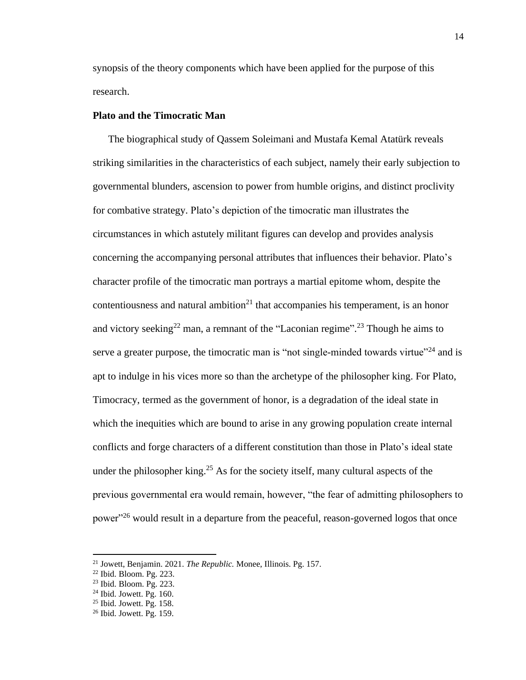synopsis of the theory components which have been applied for the purpose of this research.

#### **Plato and the Timocratic Man**

The biographical study of Qassem Soleimani and Mustafa Kemal Atatürk reveals striking similarities in the characteristics of each subject, namely their early subjection to governmental blunders, ascension to power from humble origins, and distinct proclivity for combative strategy. Plato's depiction of the timocratic man illustrates the circumstances in which astutely militant figures can develop and provides analysis concerning the accompanying personal attributes that influences their behavior. Plato's character profile of the timocratic man portrays a martial epitome whom, despite the contentiousness and natural ambition<sup>21</sup> that accompanies his temperament, is an honor and victory seeking<sup>22</sup> man, a remnant of the "Laconian regime".<sup>23</sup> Though he aims to serve a greater purpose, the timocratic man is "not single-minded towards virtue"<sup>24</sup> and is apt to indulge in his vices more so than the archetype of the philosopher king. For Plato, Timocracy, termed as the government of honor, is a degradation of the ideal state in which the inequities which are bound to arise in any growing population create internal conflicts and forge characters of a different constitution than those in Plato's ideal state under the philosopher king.<sup>25</sup> As for the society itself, many cultural aspects of the previous governmental era would remain, however, "the fear of admitting philosophers to power<sup>"26</sup> would result in a departure from the peaceful, reason-governed logos that once

<sup>21</sup> Jowett, Benjamin. 2021. *The Republic.* Monee, Illinois. Pg. 157.

<sup>22</sup> Ibid. Bloom. Pg. 223.

<sup>23</sup> Ibid. Bloom. Pg. 223.

 $24$  Ibid. Jowett. Pg. 160.

 $25$  Ibid. Jowett. Pg. 158.

<sup>26</sup> Ibid. Jowett. Pg. 159.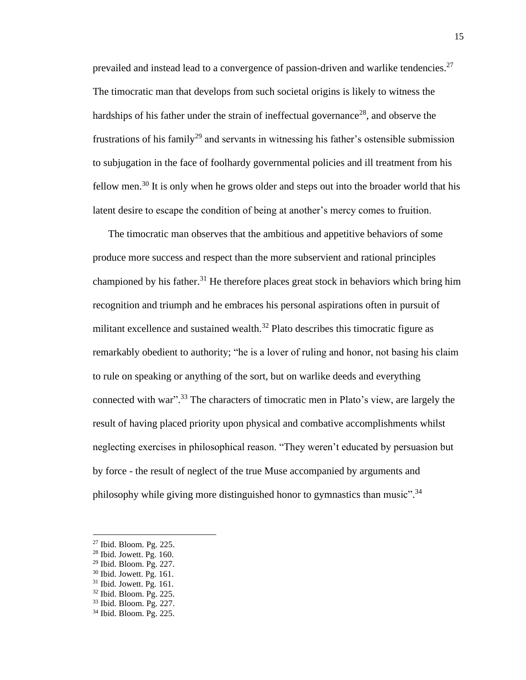prevailed and instead lead to a convergence of passion-driven and warlike tendencies.<sup>27</sup> The timocratic man that develops from such societal origins is likely to witness the hardships of his father under the strain of ineffectual governance<sup>28</sup>, and observe the frustrations of his family<sup>29</sup> and servants in witnessing his father's ostensible submission to subjugation in the face of foolhardy governmental policies and ill treatment from his fellow men.<sup>30</sup> It is only when he grows older and steps out into the broader world that his latent desire to escape the condition of being at another's mercy comes to fruition.

The timocratic man observes that the ambitious and appetitive behaviors of some produce more success and respect than the more subservient and rational principles championed by his father.<sup>31</sup> He therefore places great stock in behaviors which bring him recognition and triumph and he embraces his personal aspirations often in pursuit of militant excellence and sustained wealth.<sup>32</sup> Plato describes this timocratic figure as remarkably obedient to authority; "he is a lover of ruling and honor, not basing his claim to rule on speaking or anything of the sort, but on warlike deeds and everything connected with war".<sup>33</sup> The characters of timocratic men in Plato's view, are largely the result of having placed priority upon physical and combative accomplishments whilst neglecting exercises in philosophical reason. "They weren't educated by persuasion but by force - the result of neglect of the true Muse accompanied by arguments and philosophy while giving more distinguished honor to gymnastics than music".<sup>34</sup>

<sup>27</sup> Ibid. Bloom. Pg. 225.

 $28$  Ibid. Jowett. Pg. 160.

<sup>29</sup> Ibid. Bloom. Pg. 227.

<sup>30</sup> Ibid. Jowett. Pg. 161.

 $31$  Ibid. Jowett. Pg. 161.

<sup>32</sup> Ibid. Bloom. Pg. 225.

<sup>33</sup> Ibid. Bloom. Pg. 227.

<sup>34</sup> Ibid. Bloom. Pg. 225.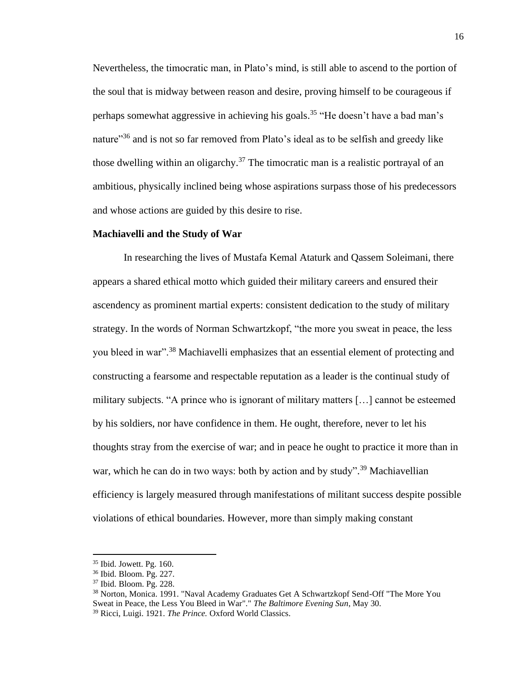Nevertheless, the timocratic man, in Plato's mind, is still able to ascend to the portion of the soul that is midway between reason and desire, proving himself to be courageous if perhaps somewhat aggressive in achieving his goals. <sup>35</sup> "He doesn't have a bad man's nature<sup>336</sup> and is not so far removed from Plato's ideal as to be selfish and greedy like those dwelling within an oligarchy.<sup>37</sup> The timocratic man is a realistic portrayal of an ambitious, physically inclined being whose aspirations surpass those of his predecessors and whose actions are guided by this desire to rise.

#### **Machiavelli and the Study of War**

In researching the lives of Mustafa Kemal Ataturk and Qassem Soleimani, there appears a shared ethical motto which guided their military careers and ensured their ascendency as prominent martial experts: consistent dedication to the study of military strategy. In the words of Norman Schwartzkopf, "the more you sweat in peace, the less you bleed in war".<sup>38</sup> Machiavelli emphasizes that an essential element of protecting and constructing a fearsome and respectable reputation as a leader is the continual study of military subjects. "A prince who is ignorant of military matters […] cannot be esteemed by his soldiers, nor have confidence in them. He ought, therefore, never to let his thoughts stray from the exercise of war; and in peace he ought to practice it more than in war, which he can do in two ways: both by action and by study".<sup>39</sup> Machiavellian efficiency is largely measured through manifestations of militant success despite possible violations of ethical boundaries. However, more than simply making constant

<sup>35</sup> Ibid. Jowett. Pg. 160.

<sup>36</sup> Ibid. Bloom. Pg. 227.

<sup>37</sup> Ibid. Bloom. Pg. 228.

<sup>38</sup> Norton, Monica. 1991. "Naval Academy Graduates Get A Schwartzkopf Send-Off "The More You Sweat in Peace, the Less You Bleed in War"." *The Baltimore Evening Sun*, May 30. <sup>39</sup> Ricci, Luigi. 1921. *The Prince.* Oxford World Classics.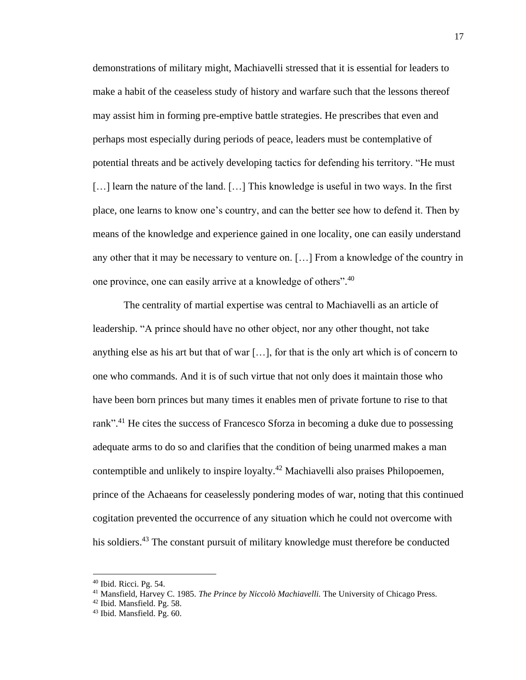demonstrations of military might, Machiavelli stressed that it is essential for leaders to make a habit of the ceaseless study of history and warfare such that the lessons thereof may assist him in forming pre-emptive battle strategies. He prescribes that even and perhaps most especially during periods of peace, leaders must be contemplative of potential threats and be actively developing tactics for defending his territory. "He must [...] learn the nature of the land. [...] This knowledge is useful in two ways. In the first place, one learns to know one's country, and can the better see how to defend it. Then by means of the knowledge and experience gained in one locality, one can easily understand any other that it may be necessary to venture on. […] From a knowledge of the country in one province, one can easily arrive at a knowledge of others".<sup>40</sup>

The centrality of martial expertise was central to Machiavelli as an article of leadership. "A prince should have no other object, nor any other thought, not take anything else as his art but that of war […], for that is the only art which is of concern to one who commands. And it is of such virtue that not only does it maintain those who have been born princes but many times it enables men of private fortune to rise to that rank".<sup>41</sup> He cites the success of Francesco Sforza in becoming a duke due to possessing adequate arms to do so and clarifies that the condition of being unarmed makes a man contemptible and unlikely to inspire loyalty. <sup>42</sup> Machiavelli also praises Philopoemen, prince of the Achaeans for ceaselessly pondering modes of war, noting that this continued cogitation prevented the occurrence of any situation which he could not overcome with his soldiers.<sup>43</sup> The constant pursuit of military knowledge must therefore be conducted

<sup>40</sup> Ibid. Ricci. Pg. 54.

<sup>41</sup> Mansfield, Harvey C. 1985. *The Prince by Niccolò Machiavelli.* The University of Chicago Press.

<sup>42</sup> Ibid. Mansfield. Pg. 58.

<sup>43</sup> Ibid. Mansfield. Pg. 60.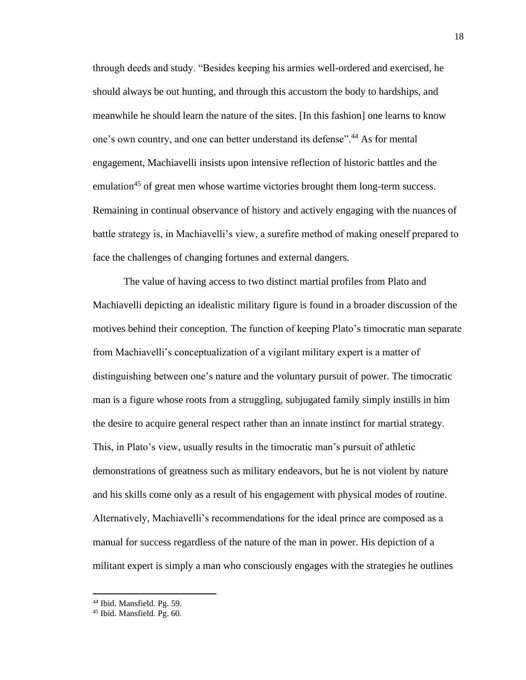through deeds and study. "Besides keeping his armies well-ordered and exercised, he should always be out hunting, and through this accustom the body to hardships, and meanwhile he should learn the nature of the sites. [In this fashion] one learns to know one's own country, and one can better understand its defense".<sup>44</sup> As for mental engagement, Machiavelli insists upon intensive reflection of historic battles and the emulation<sup>45</sup> of great men whose wartime victories brought them long-term success. Remaining in continual observance of history and actively engaging with the nuances of battle strategy is, in Machiavelli's view, a surefire method of making oneself prepared to face the challenges of changing fortunes and external dangers.

The value of having access to two distinct martial profiles from Plato and Machiavelli depicting an idealistic military figure is found in a broader discussion of the motives behind their conception. The function of keeping Plato's timocratic man separate from Machiavelli's conceptualization of a vigilant military expert is a matter of distinguishing between one's nature and the voluntary pursuit of power. The timocratic man is a figure whose roots from a struggling, subjugated family simply instills in him the desire to acquire general respect rather than an innate instinct for martial strategy. This, in Plato's view, usually results in the timocratic man's pursuit of athletic demonstrations of greatness such as military endeavors, but he is not violent by nature and his skills come only as a result of his engagement with physical modes of routine. Alternatively, Machiavelli's recommendations for the ideal prince are composed as a manual for success regardless of the nature of the man in power. His depiction of a militant expert is simply a man who consciously engages with the strategies he outlines

<sup>44</sup> Ibid. Mansfield. Pg. 59.

<sup>45</sup> Ibid. Mansfield. Pg. 60.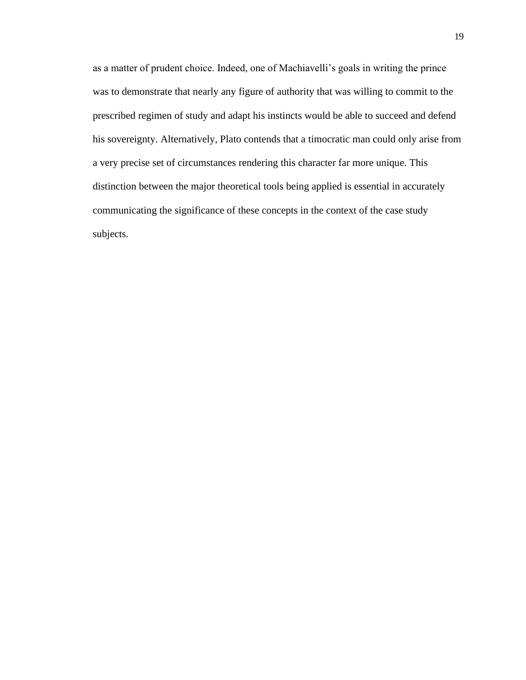as a matter of prudent choice. Indeed, one of Machiavelli's goals in writing the prince was to demonstrate that nearly any figure of authority that was willing to commit to the prescribed regimen of study and adapt his instincts would be able to succeed and defend his sovereignty. Alternatively, Plato contends that a timocratic man could only arise from a very precise set of circumstances rendering this character far more unique. This distinction between the major theoretical tools being applied is essential in accurately communicating the significance of these concepts in the context of the case study subjects.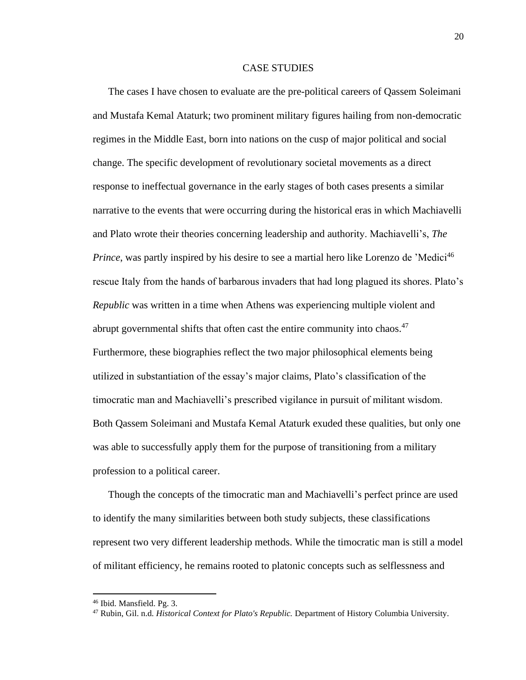#### CASE STUDIES

The cases I have chosen to evaluate are the pre-political careers of Qassem Soleimani and Mustafa Kemal Ataturk; two prominent military figures hailing from non-democratic regimes in the Middle East, born into nations on the cusp of major political and social change. The specific development of revolutionary societal movements as a direct response to ineffectual governance in the early stages of both cases presents a similar narrative to the events that were occurring during the historical eras in which Machiavelli and Plato wrote their theories concerning leadership and authority. Machiavelli's, *The Prince*, was partly inspired by his desire to see a martial hero like Lorenzo de 'Medici<sup>46</sup> rescue Italy from the hands of barbarous invaders that had long plagued its shores. Plato's *Republic* was written in a time when Athens was experiencing multiple violent and abrupt governmental shifts that often cast the entire community into chaos.<sup>47</sup> Furthermore, these biographies reflect the two major philosophical elements being utilized in substantiation of the essay's major claims, Plato's classification of the timocratic man and Machiavelli's prescribed vigilance in pursuit of militant wisdom. Both Qassem Soleimani and Mustafa Kemal Ataturk exuded these qualities, but only one was able to successfully apply them for the purpose of transitioning from a military profession to a political career.

Though the concepts of the timocratic man and Machiavelli's perfect prince are used to identify the many similarities between both study subjects, these classifications represent two very different leadership methods. While the timocratic man is still a model of militant efficiency, he remains rooted to platonic concepts such as selflessness and

<sup>46</sup> Ibid. Mansfield. Pg. 3.

<sup>47</sup> Rubin, Gil. n.d. *Historical Context for Plato's Republic.* Department of History Columbia University.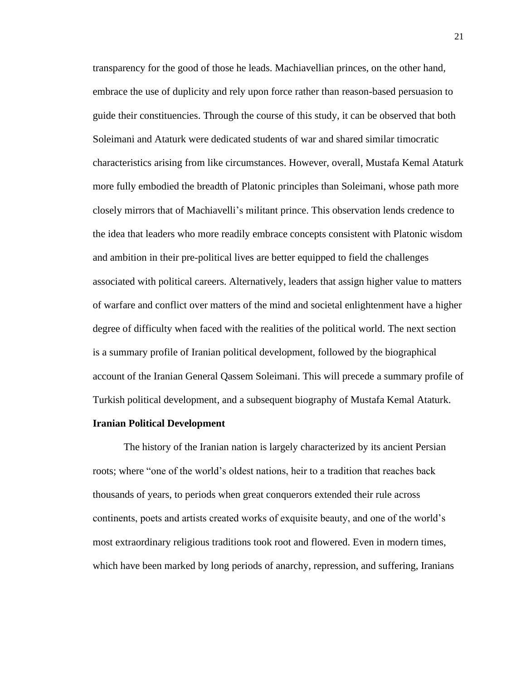transparency for the good of those he leads. Machiavellian princes, on the other hand, embrace the use of duplicity and rely upon force rather than reason-based persuasion to guide their constituencies. Through the course of this study, it can be observed that both Soleimani and Ataturk were dedicated students of war and shared similar timocratic characteristics arising from like circumstances. However, overall, Mustafa Kemal Ataturk more fully embodied the breadth of Platonic principles than Soleimani, whose path more closely mirrors that of Machiavelli's militant prince. This observation lends credence to the idea that leaders who more readily embrace concepts consistent with Platonic wisdom and ambition in their pre-political lives are better equipped to field the challenges associated with political careers. Alternatively, leaders that assign higher value to matters of warfare and conflict over matters of the mind and societal enlightenment have a higher degree of difficulty when faced with the realities of the political world. The next section is a summary profile of Iranian political development, followed by the biographical account of the Iranian General Qassem Soleimani. This will precede a summary profile of Turkish political development, and a subsequent biography of Mustafa Kemal Ataturk.

#### **Iranian Political Development**

The history of the Iranian nation is largely characterized by its ancient Persian roots; where "one of the world's oldest nations, heir to a tradition that reaches back thousands of years, to periods when great conquerors extended their rule across continents, poets and artists created works of exquisite beauty, and one of the world's most extraordinary religious traditions took root and flowered. Even in modern times, which have been marked by long periods of anarchy, repression, and suffering, Iranians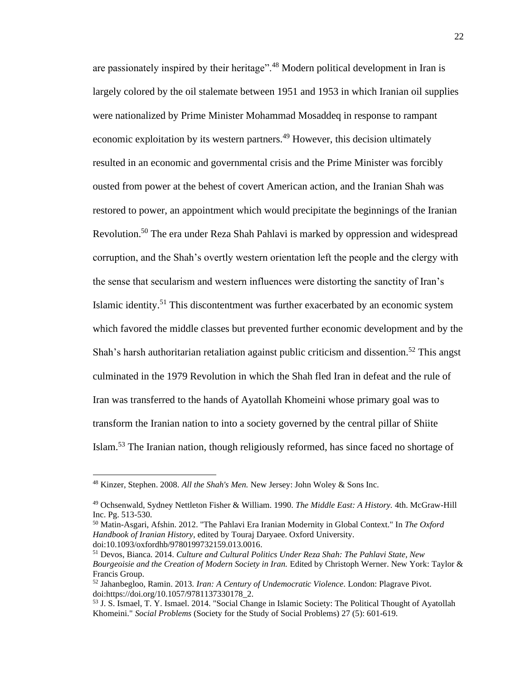are passionately inspired by their heritage".<sup>48</sup> Modern political development in Iran is largely colored by the oil stalemate between 1951 and 1953 in which Iranian oil supplies were nationalized by Prime Minister Mohammad Mosaddeq in response to rampant economic exploitation by its western partners.<sup>49</sup> However, this decision ultimately resulted in an economic and governmental crisis and the Prime Minister was forcibly ousted from power at the behest of covert American action, and the Iranian Shah was restored to power, an appointment which would precipitate the beginnings of the Iranian Revolution.<sup>50</sup> The era under Reza Shah Pahlavi is marked by oppression and widespread corruption, and the Shah's overtly western orientation left the people and the clergy with the sense that secularism and western influences were distorting the sanctity of Iran's Islamic identity.<sup>51</sup> This discontentment was further exacerbated by an economic system which favored the middle classes but prevented further economic development and by the Shah's harsh authoritarian retaliation against public criticism and dissention.<sup>52</sup> This angst culminated in the 1979 Revolution in which the Shah fled Iran in defeat and the rule of Iran was transferred to the hands of Ayatollah Khomeini whose primary goal was to transform the Iranian nation to into a society governed by the central pillar of Shiite Islam.<sup>53</sup> The Iranian nation, though religiously reformed, has since faced no shortage of

<sup>50</sup> Matin-Asgari, Afshin. 2012. "The Pahlavi Era Iranian Modernity in Global Context." In *The Oxford Handbook of Iranian History*, edited by Touraj Daryaee. Oxford University. doi:10.1093/oxfordhb/9780199732159.013.0016.

<sup>48</sup> Kinzer, Stephen. 2008. *All the Shah's Men.* New Jersey: John Woley & Sons Inc.

<sup>49</sup> Ochsenwald, Sydney Nettleton Fisher & William. 1990. *The Middle East: A History.* 4th. McGraw-Hill Inc. Pg. 513-530.

<sup>51</sup> Devos, Bianca. 2014. *Culture and Cultural Politics Under Reza Shah: The Pahlavi State, New Bourgeoisie and the Creation of Modern Society in Iran.* Edited by Christoph Werner. New York: Taylor & Francis Group.

<sup>52</sup> Jahanbegloo, Ramin. 2013. *Iran: A Century of Undemocratic Violence.* London: Plagrave Pivot. doi:https://doi.org/10.1057/9781137330178\_2.

<sup>53</sup> J. S. Ismael, T. Y. Ismael. 2014. "Social Change in Islamic Society: The Political Thought of Ayatollah Khomeini." *Social Problems* (Society for the Study of Social Problems) 27 (5): 601-619.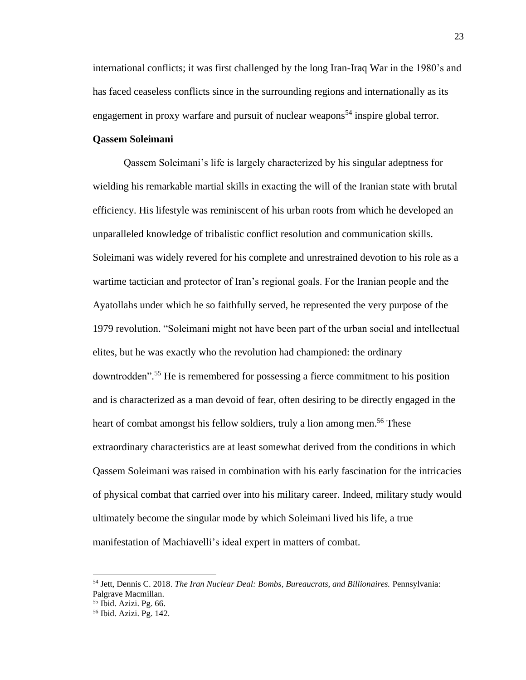international conflicts; it was first challenged by the long Iran-Iraq War in the 1980's and has faced ceaseless conflicts since in the surrounding regions and internationally as its engagement in proxy warfare and pursuit of nuclear weapons<sup>54</sup> inspire global terror.

#### **Qassem Soleimani**

Qassem Soleimani's life is largely characterized by his singular adeptness for wielding his remarkable martial skills in exacting the will of the Iranian state with brutal efficiency. His lifestyle was reminiscent of his urban roots from which he developed an unparalleled knowledge of tribalistic conflict resolution and communication skills. Soleimani was widely revered for his complete and unrestrained devotion to his role as a wartime tactician and protector of Iran's regional goals. For the Iranian people and the Ayatollahs under which he so faithfully served, he represented the very purpose of the 1979 revolution. "Soleimani might not have been part of the urban social and intellectual elites, but he was exactly who the revolution had championed: the ordinary downtrodden". <sup>55</sup> He is remembered for possessing a fierce commitment to his position and is characterized as a man devoid of fear, often desiring to be directly engaged in the heart of combat amongst his fellow soldiers, truly a lion among men.<sup>56</sup> These extraordinary characteristics are at least somewhat derived from the conditions in which Qassem Soleimani was raised in combination with his early fascination for the intricacies of physical combat that carried over into his military career. Indeed, military study would ultimately become the singular mode by which Soleimani lived his life, a true manifestation of Machiavelli's ideal expert in matters of combat.

<sup>54</sup> Jett, Dennis C. 2018. *The Iran Nuclear Deal: Bombs, Bureaucrats, and Billionaires.* Pennsylvania: Palgrave Macmillan.

<sup>55</sup> Ibid. Azizi. Pg. 66.

<sup>56</sup> Ibid. Azizi. Pg. 142.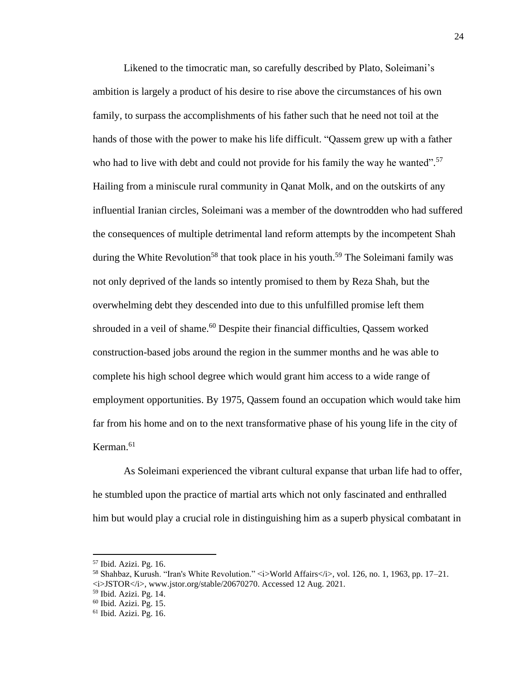Likened to the timocratic man, so carefully described by Plato, Soleimani's ambition is largely a product of his desire to rise above the circumstances of his own family, to surpass the accomplishments of his father such that he need not toil at the hands of those with the power to make his life difficult. "Qassem grew up with a father who had to live with debt and could not provide for his family the way he wanted".<sup>57</sup> Hailing from a miniscule rural community in Qanat Molk, and on the outskirts of any influential Iranian circles, Soleimani was a member of the downtrodden who had suffered the consequences of multiple detrimental land reform attempts by the incompetent Shah during the White Revolution<sup>58</sup> that took place in his youth.<sup>59</sup> The Soleimani family was not only deprived of the lands so intently promised to them by Reza Shah, but the overwhelming debt they descended into due to this unfulfilled promise left them shrouded in a veil of shame.<sup>60</sup> Despite their financial difficulties, Qassem worked construction-based jobs around the region in the summer months and he was able to complete his high school degree which would grant him access to a wide range of employment opportunities. By 1975, Qassem found an occupation which would take him far from his home and on to the next transformative phase of his young life in the city of Kerman. 61

As Soleimani experienced the vibrant cultural expanse that urban life had to offer, he stumbled upon the practice of martial arts which not only fascinated and enthralled him but would play a crucial role in distinguishing him as a superb physical combatant in

<sup>57</sup> Ibid. Azizi. Pg. 16.

<sup>58</sup> Shahbaz, Kurush. "Iran's White Revolution." <i>World Affairs</i>, vol. 126, no. 1, 1963, pp. 17–21.  $\langle i\rangle$ JSTOR $\langle i\rangle$ , www.jstor.org/stable/20670270. Accessed 12 Aug. 2021.

<sup>59</sup> Ibid. Azizi. Pg. 14.

 $60$  Ibid. Azizi. Pg. 15.

<sup>61</sup> Ibid. Azizi. Pg. 16.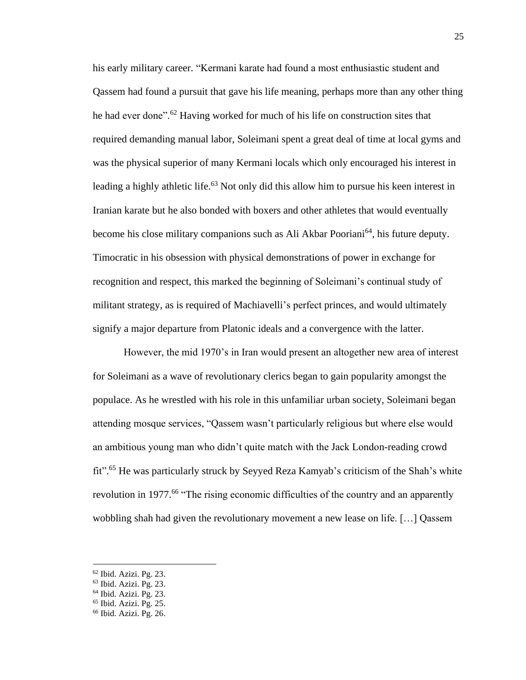his early military career. "Kermani karate had found a most enthusiastic student and Qassem had found a pursuit that gave his life meaning, perhaps more than any other thing he had ever done".<sup>62</sup> Having worked for much of his life on construction sites that required demanding manual labor, Soleimani spent a great deal of time at local gyms and was the physical superior of many Kermani locals which only encouraged his interest in leading a highly athletic life.<sup>63</sup> Not only did this allow him to pursue his keen interest in Iranian karate but he also bonded with boxers and other athletes that would eventually become his close military companions such as Ali Akbar Pooriani<sup>64</sup>, his future deputy. Timocratic in his obsession with physical demonstrations of power in exchange for recognition and respect, this marked the beginning of Soleimani's continual study of militant strategy, as is required of Machiavelli's perfect princes, and would ultimately signify a major departure from Platonic ideals and a convergence with the latter.

However, the mid 1970's in Iran would present an altogether new area of interest for Soleimani as a wave of revolutionary clerics began to gain popularity amongst the populace. As he wrestled with his role in this unfamiliar urban society, Soleimani began attending mosque services, "Qassem wasn't particularly religious but where else would an ambitious young man who didn't quite match with the Jack London-reading crowd fit".<sup>65</sup> He was particularly struck by Seyyed Reza Kamyab's criticism of the Shah's white revolution in 1977.<sup>66</sup> "The rising economic difficulties of the country and an apparently wobbling shah had given the revolutionary movement a new lease on life. […] Qassem

<sup>62</sup> Ibid. Azizi. Pg. 23.

<sup>63</sup> Ibid. Azizi. Pg. 23.

<sup>64</sup> Ibid. Azizi. Pg. 23.

<sup>65</sup> Ibid. Azizi. Pg. 25.

<sup>66</sup> Ibid. Azizi. Pg. 26.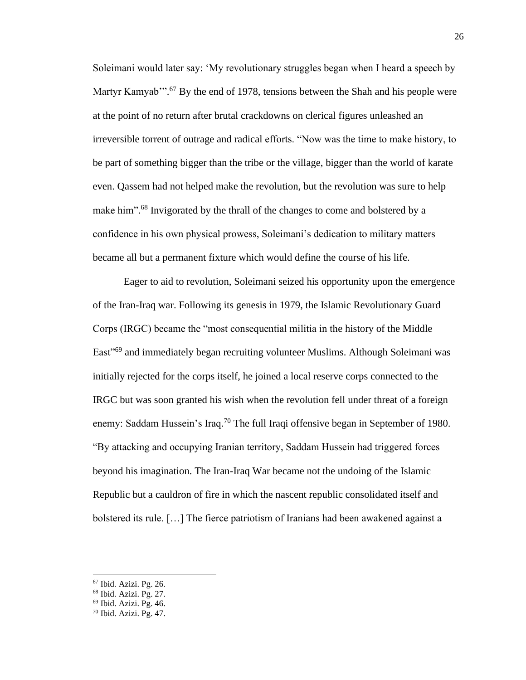Soleimani would later say: 'My revolutionary struggles began when I heard a speech by Martyr Kamyab"<sup>3</sup>.<sup>67</sup> By the end of 1978, tensions between the Shah and his people were at the point of no return after brutal crackdowns on clerical figures unleashed an irreversible torrent of outrage and radical efforts. "Now was the time to make history, to be part of something bigger than the tribe or the village, bigger than the world of karate even. Qassem had not helped make the revolution, but the revolution was sure to help make him".<sup>68</sup> Invigorated by the thrall of the changes to come and bolstered by a confidence in his own physical prowess, Soleimani's dedication to military matters became all but a permanent fixture which would define the course of his life.

Eager to aid to revolution, Soleimani seized his opportunity upon the emergence of the Iran-Iraq war. Following its genesis in 1979, the Islamic Revolutionary Guard Corps (IRGC) became the "most consequential militia in the history of the Middle East"<sup>69</sup> and immediately began recruiting volunteer Muslims. Although Soleimani was initially rejected for the corps itself, he joined a local reserve corps connected to the IRGC but was soon granted his wish when the revolution fell under threat of a foreign enemy: Saddam Hussein's Iraq.<sup>70</sup> The full Iraqi offensive began in September of 1980. "By attacking and occupying Iranian territory, Saddam Hussein had triggered forces beyond his imagination. The Iran-Iraq War became not the undoing of the Islamic Republic but a cauldron of fire in which the nascent republic consolidated itself and bolstered its rule. […] The fierce patriotism of Iranians had been awakened against a

<sup>67</sup> Ibid. Azizi. Pg. 26.

<sup>68</sup> Ibid. Azizi. Pg. 27.

<sup>69</sup> Ibid. Azizi. Pg. 46.

<sup>70</sup> Ibid. Azizi. Pg. 47.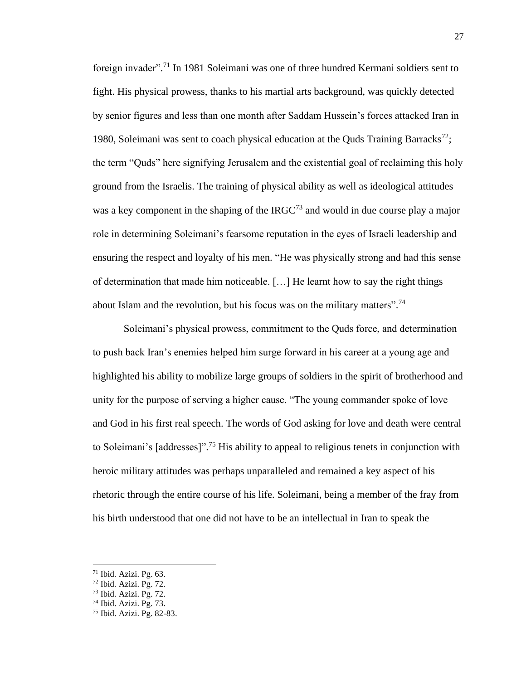foreign invader".<sup>71</sup> In 1981 Soleimani was one of three hundred Kermani soldiers sent to fight. His physical prowess, thanks to his martial arts background, was quickly detected by senior figures and less than one month after Saddam Hussein's forces attacked Iran in 1980, Soleimani was sent to coach physical education at the Quds Training Barracks<sup>72</sup>; the term "Quds" here signifying Jerusalem and the existential goal of reclaiming this holy ground from the Israelis. The training of physical ability as well as ideological attitudes was a key component in the shaping of the  $IRGC<sup>73</sup>$  and would in due course play a major role in determining Soleimani's fearsome reputation in the eyes of Israeli leadership and ensuring the respect and loyalty of his men. "He was physically strong and had this sense of determination that made him noticeable. […] He learnt how to say the right things about Islam and the revolution, but his focus was on the military matters".<sup>74</sup>

Soleimani's physical prowess, commitment to the Quds force, and determination to push back Iran's enemies helped him surge forward in his career at a young age and highlighted his ability to mobilize large groups of soldiers in the spirit of brotherhood and unity for the purpose of serving a higher cause. "The young commander spoke of love and God in his first real speech. The words of God asking for love and death were central to Soleimani's  $[addresses]$ ".<sup>75</sup> His ability to appeal to religious tenets in conjunction with heroic military attitudes was perhaps unparalleled and remained a key aspect of his rhetoric through the entire course of his life. Soleimani, being a member of the fray from his birth understood that one did not have to be an intellectual in Iran to speak the

 $71$  Ibid. Azizi. Pg. 63.

 $72$  Ibid. Azizi. Pg. 72.

<sup>73</sup> Ibid. Azizi. Pg. 72.

 $74$  Ibid. Azizi. Pg. 73.

<sup>75</sup> Ibid. Azizi. Pg. 82-83.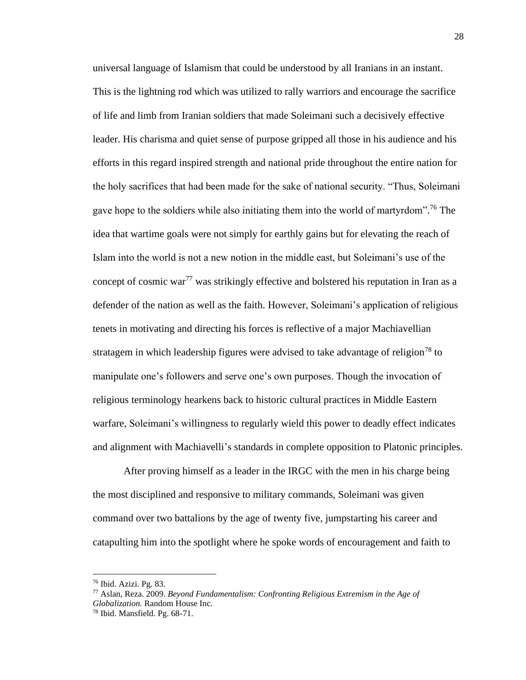universal language of Islamism that could be understood by all Iranians in an instant. This is the lightning rod which was utilized to rally warriors and encourage the sacrifice of life and limb from Iranian soldiers that made Soleimani such a decisively effective leader. His charisma and quiet sense of purpose gripped all those in his audience and his efforts in this regard inspired strength and national pride throughout the entire nation for the holy sacrifices that had been made for the sake of national security. "Thus, Soleimani gave hope to the soldiers while also initiating them into the world of martyrdom".<sup>76</sup> The idea that wartime goals were not simply for earthly gains but for elevating the reach of Islam into the world is not a new notion in the middle east, but Soleimani's use of the concept of cosmic war<sup>77</sup> was strikingly effective and bolstered his reputation in Iran as a defender of the nation as well as the faith. However, Soleimani's application of religious tenets in motivating and directing his forces is reflective of a major Machiavellian stratagem in which leadership figures were advised to take advantage of religion<sup>78</sup> to manipulate one's followers and serve one's own purposes. Though the invocation of religious terminology hearkens back to historic cultural practices in Middle Eastern warfare, Soleimani's willingness to regularly wield this power to deadly effect indicates and alignment with Machiavelli's standards in complete opposition to Platonic principles.

After proving himself as a leader in the IRGC with the men in his charge being the most disciplined and responsive to military commands, Soleimani was given command over two battalions by the age of twenty five, jumpstarting his career and catapulting him into the spotlight where he spoke words of encouragement and faith to

<sup>76</sup> Ibid. Azizi. Pg. 83.

<sup>77</sup> Aslan, Reza. 2009. *Beyond Fundamentalism: Confronting Religious Extremism in the Age of Globalization.* Random House Inc.

<sup>78</sup> Ibid. Mansfield. Pg. 68-71.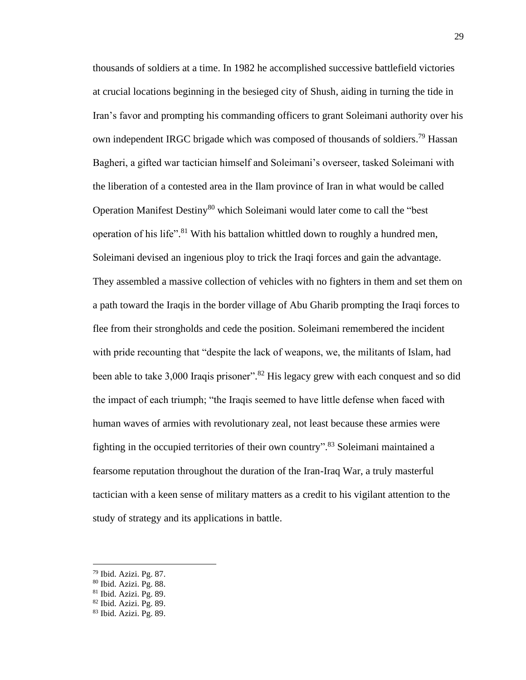thousands of soldiers at a time. In 1982 he accomplished successive battlefield victories at crucial locations beginning in the besieged city of Shush, aiding in turning the tide in Iran's favor and prompting his commanding officers to grant Soleimani authority over his own independent IRGC brigade which was composed of thousands of soldiers.<sup>79</sup> Hassan Bagheri, a gifted war tactician himself and Soleimani's overseer, tasked Soleimani with the liberation of a contested area in the Ilam province of Iran in what would be called Operation Manifest Destiny<sup>80</sup> which Soleimani would later come to call the "best" operation of his life".<sup>81</sup> With his battalion whittled down to roughly a hundred men, Soleimani devised an ingenious ploy to trick the Iraqi forces and gain the advantage. They assembled a massive collection of vehicles with no fighters in them and set them on a path toward the Iraqis in the border village of Abu Gharib prompting the Iraqi forces to flee from their strongholds and cede the position. Soleimani remembered the incident with pride recounting that "despite the lack of weapons, we, the militants of Islam, had been able to take 3,000 Iraqis prisoner".<sup>82</sup> His legacy grew with each conquest and so did the impact of each triumph; "the Iraqis seemed to have little defense when faced with human waves of armies with revolutionary zeal, not least because these armies were fighting in the occupied territories of their own country". <sup>83</sup> Soleimani maintained a fearsome reputation throughout the duration of the Iran-Iraq War, a truly masterful tactician with a keen sense of military matters as a credit to his vigilant attention to the study of strategy and its applications in battle.

<sup>79</sup> Ibid. Azizi. Pg. 87.

<sup>80</sup> Ibid. Azizi. Pg. 88.

 $81$  Ibid. Azizi. Pg. 89.

<sup>82</sup> Ibid. Azizi. Pg. 89.

<sup>83</sup> Ibid. Azizi. Pg. 89.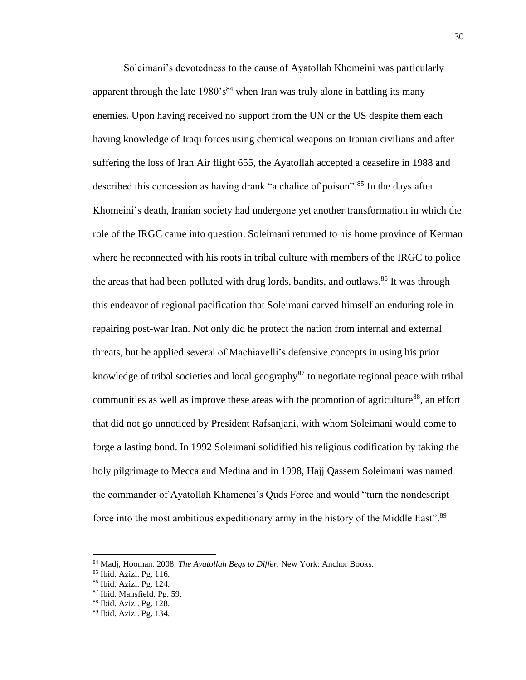Soleimani's devotedness to the cause of Ayatollah Khomeini was particularly apparent through the late  $1980's^{84}$  when Iran was truly alone in battling its many enemies. Upon having received no support from the UN or the US despite them each having knowledge of Iraqi forces using chemical weapons on Iranian civilians and after suffering the loss of Iran Air flight 655, the Ayatollah accepted a ceasefire in 1988 and described this concession as having drank "a chalice of poison". <sup>85</sup> In the days after Khomeini's death, Iranian society had undergone yet another transformation in which the role of the IRGC came into question. Soleimani returned to his home province of Kerman where he reconnected with his roots in tribal culture with members of the IRGC to police the areas that had been polluted with drug lords, bandits, and outlaws.<sup>86</sup> It was through this endeavor of regional pacification that Soleimani carved himself an enduring role in repairing post-war Iran. Not only did he protect the nation from internal and external threats, but he applied several of Machiavelli's defensive concepts in using his prior knowledge of tribal societies and local geography<sup>87</sup> to negotiate regional peace with tribal communities as well as improve these areas with the promotion of agriculture<sup>88</sup>, an effort that did not go unnoticed by President Rafsanjani, with whom Soleimani would come to forge a lasting bond. In 1992 Soleimani solidified his religious codification by taking the holy pilgrimage to Mecca and Medina and in 1998, Hajj Qassem Soleimani was named the commander of Ayatollah Khamenei's Quds Force and would "turn the nondescript force into the most ambitious expeditionary army in the history of the Middle East".<sup>89</sup>

<sup>84</sup> Madj, Hooman. 2008. *The Ayatollah Begs to Differ.* New York: Anchor Books.

<sup>85</sup> Ibid. Azizi. Pg. 116.

<sup>86</sup> Ibid. Azizi. Pg. 124.

<sup>87</sup> Ibid. Mansfield. Pg. 59.

<sup>88</sup> Ibid. Azizi. Pg. 128.

<sup>89</sup> Ibid. Azizi. Pg. 134.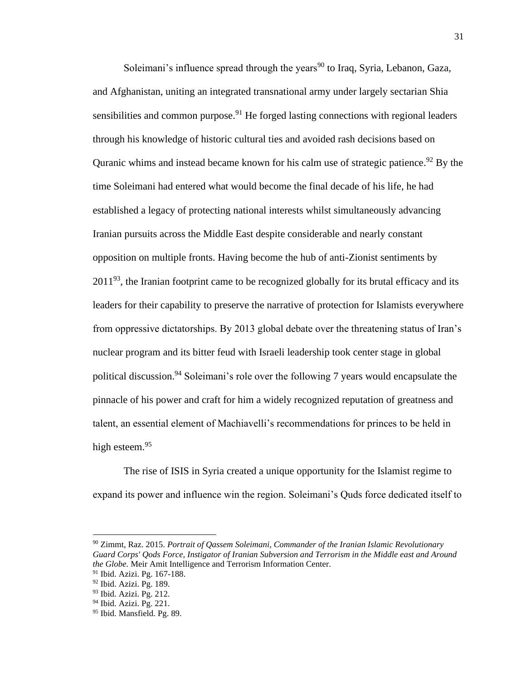Soleimani's influence spread through the years<sup>90</sup> to Iraq, Syria, Lebanon, Gaza, and Afghanistan, uniting an integrated transnational army under largely sectarian Shia sensibilities and common purpose.<sup>91</sup> He forged lasting connections with regional leaders through his knowledge of historic cultural ties and avoided rash decisions based on Quranic whims and instead became known for his calm use of strategic patience.<sup>92</sup> By the time Soleimani had entered what would become the final decade of his life, he had established a legacy of protecting national interests whilst simultaneously advancing Iranian pursuits across the Middle East despite considerable and nearly constant opposition on multiple fronts. Having become the hub of anti-Zionist sentiments by  $2011<sup>93</sup>$ , the Iranian footprint came to be recognized globally for its brutal efficacy and its leaders for their capability to preserve the narrative of protection for Islamists everywhere from oppressive dictatorships. By 2013 global debate over the threatening status of Iran's nuclear program and its bitter feud with Israeli leadership took center stage in global political discussion.<sup>94</sup> Soleimani's role over the following 7 years would encapsulate the pinnacle of his power and craft for him a widely recognized reputation of greatness and talent, an essential element of Machiavelli's recommendations for princes to be held in high esteem.<sup>95</sup>

The rise of ISIS in Syria created a unique opportunity for the Islamist regime to expand its power and influence win the region. Soleimani's Quds force dedicated itself to

<sup>90</sup> Zimmt, Raz. 2015. *Portrait of Qassem Soleimani, Commander of the Iranian Islamic Revolutionary Guard Corps' Qods Force, Instigator of Iranian Subversion and Terrorism in the Middle east and Around the Globe.* Meir Amit Intelligence and Terrorism Information Center.

<sup>91</sup> Ibid. Azizi. Pg. 167-188.

<sup>92</sup> Ibid. Azizi. Pg. 189.

<sup>93</sup> Ibid. Azizi. Pg. 212.

<sup>&</sup>lt;sup>94</sup> Ibid. Azizi. Pg. 221.

<sup>95</sup> Ibid. Mansfield. Pg. 89.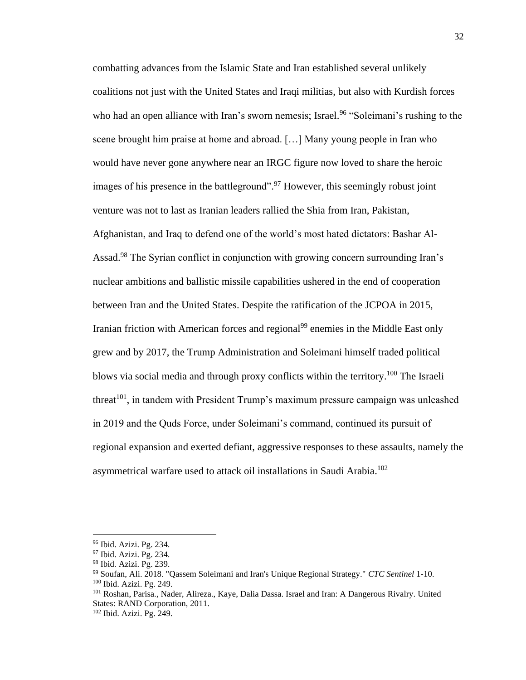combatting advances from the Islamic State and Iran established several unlikely coalitions not just with the United States and Iraqi militias, but also with Kurdish forces who had an open alliance with Iran's sworn nemesis; Israel.<sup>96</sup> "Soleimani's rushing to the scene brought him praise at home and abroad. […] Many young people in Iran who would have never gone anywhere near an IRGC figure now loved to share the heroic images of his presence in the battleground".<sup>97</sup> However, this seemingly robust joint venture was not to last as Iranian leaders rallied the Shia from Iran, Pakistan, Afghanistan, and Iraq to defend one of the world's most hated dictators: Bashar Al-Assad.<sup>98</sup> The Syrian conflict in conjunction with growing concern surrounding Iran's nuclear ambitions and ballistic missile capabilities ushered in the end of cooperation between Iran and the United States. Despite the ratification of the JCPOA in 2015, Iranian friction with American forces and regional<sup>99</sup> enemies in the Middle East only grew and by 2017, the Trump Administration and Soleimani himself traded political blows via social media and through proxy conflicts within the territory.<sup>100</sup> The Israeli threat<sup>101</sup>, in tandem with President Trump's maximum pressure campaign was unleashed in 2019 and the Quds Force, under Soleimani's command, continued its pursuit of regional expansion and exerted defiant, aggressive responses to these assaults, namely the asymmetrical warfare used to attack oil installations in Saudi Arabia. 102

<sup>96</sup> Ibid. Azizi. Pg. 234.

<sup>&</sup>lt;sup>97</sup> Ibid. Azizi. Pg. 234.

<sup>98</sup> Ibid. Azizi. Pg. 239.

<sup>99</sup> Soufan, Ali. 2018. "Qassem Soleimani and Iran's Unique Regional Strategy." *CTC Sentinel* 1-10. <sup>100</sup> Ibid. Azizi. Pg. 249.

<sup>101</sup> Roshan, Parisa., Nader, Alireza., Kaye, Dalia Dassa. Israel and Iran: A Dangerous Rivalry. United States: RAND Corporation, 2011.

<sup>102</sup> Ibid. Azizi. Pg. 249.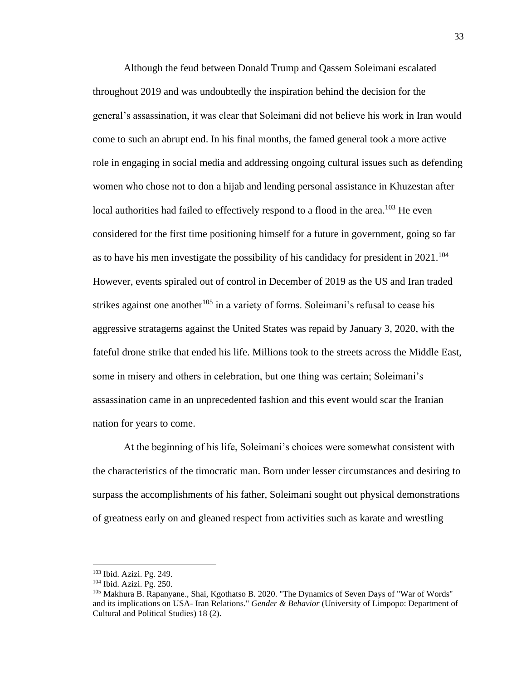Although the feud between Donald Trump and Qassem Soleimani escalated throughout 2019 and was undoubtedly the inspiration behind the decision for the general's assassination, it was clear that Soleimani did not believe his work in Iran would come to such an abrupt end. In his final months, the famed general took a more active role in engaging in social media and addressing ongoing cultural issues such as defending women who chose not to don a hijab and lending personal assistance in Khuzestan after local authorities had failed to effectively respond to a flood in the area.<sup>103</sup> He even considered for the first time positioning himself for a future in government, going so far as to have his men investigate the possibility of his candidacy for president in 2021.<sup>104</sup> However, events spiraled out of control in December of 2019 as the US and Iran traded strikes against one another<sup>105</sup> in a variety of forms. Soleimani's refusal to cease his aggressive stratagems against the United States was repaid by January 3, 2020, with the fateful drone strike that ended his life. Millions took to the streets across the Middle East, some in misery and others in celebration, but one thing was certain; Soleimani's assassination came in an unprecedented fashion and this event would scar the Iranian nation for years to come.

At the beginning of his life, Soleimani's choices were somewhat consistent with the characteristics of the timocratic man. Born under lesser circumstances and desiring to surpass the accomplishments of his father, Soleimani sought out physical demonstrations of greatness early on and gleaned respect from activities such as karate and wrestling

<sup>103</sup> Ibid. Azizi. Pg. 249.

<sup>104</sup> Ibid. Azizi. Pg. 250.

<sup>105</sup> Makhura B. Rapanyane., Shai, Kgothatso B. 2020. "The Dynamics of Seven Days of "War of Words" and its implications on USA- Iran Relations." *Gender & Behavior* (University of Limpopo: Department of Cultural and Political Studies) 18 (2).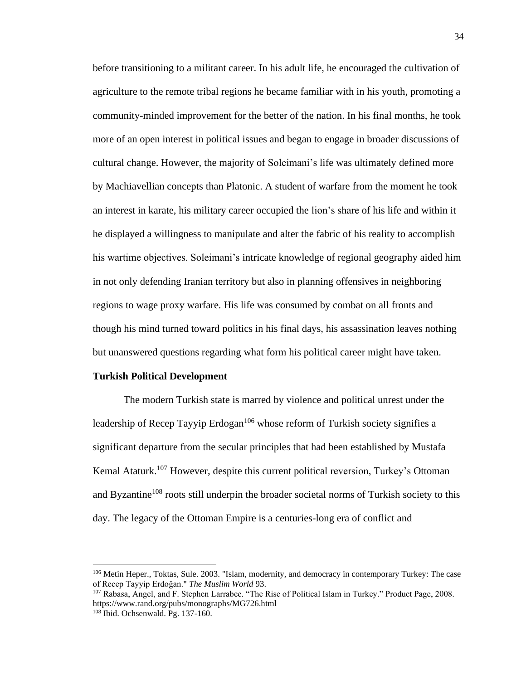before transitioning to a militant career. In his adult life, he encouraged the cultivation of agriculture to the remote tribal regions he became familiar with in his youth, promoting a community-minded improvement for the better of the nation. In his final months, he took more of an open interest in political issues and began to engage in broader discussions of cultural change. However, the majority of Soleimani's life was ultimately defined more by Machiavellian concepts than Platonic. A student of warfare from the moment he took an interest in karate, his military career occupied the lion's share of his life and within it he displayed a willingness to manipulate and alter the fabric of his reality to accomplish his wartime objectives. Soleimani's intricate knowledge of regional geography aided him in not only defending Iranian territory but also in planning offensives in neighboring regions to wage proxy warfare. His life was consumed by combat on all fronts and though his mind turned toward politics in his final days, his assassination leaves nothing but unanswered questions regarding what form his political career might have taken.

#### **Turkish Political Development**

The modern Turkish state is marred by violence and political unrest under the leadership of Recep Tayyip Erdogan<sup>106</sup> whose reform of Turkish society signifies a significant departure from the secular principles that had been established by Mustafa Kemal Ataturk.<sup>107</sup> However, despite this current political reversion, Turkey's Ottoman and Byzantine<sup>108</sup> roots still underpin the broader societal norms of Turkish society to this day. The legacy of the Ottoman Empire is a centuries-long era of conflict and

<sup>106</sup> Metin Heper., Toktas, Sule. 2003. "Islam, modernity, and democracy in contemporary Turkey: The case of Recep Tayyip Erdoğan." *The Muslim World* 93.

<sup>107</sup> Rabasa, Angel, and F. Stephen Larrabee. "The Rise of Political Islam in Turkey." Product Page, 2008. https://www.rand.org/pubs/monographs/MG726.html

<sup>108</sup> Ibid. Ochsenwald. Pg. 137-160.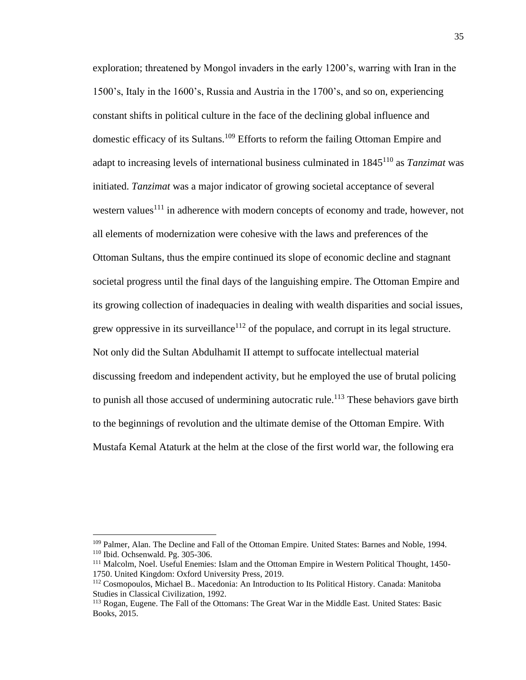exploration; threatened by Mongol invaders in the early 1200's, warring with Iran in the 1500's, Italy in the 1600's, Russia and Austria in the 1700's, and so on, experiencing constant shifts in political culture in the face of the declining global influence and domestic efficacy of its Sultans.<sup>109</sup> Efforts to reform the failing Ottoman Empire and adapt to increasing levels of international business culminated in 1845<sup>110</sup> as *Tanzimat* was initiated. *Tanzimat* was a major indicator of growing societal acceptance of several western values<sup>111</sup> in adherence with modern concepts of economy and trade, however, not all elements of modernization were cohesive with the laws and preferences of the Ottoman Sultans, thus the empire continued its slope of economic decline and stagnant societal progress until the final days of the languishing empire. The Ottoman Empire and its growing collection of inadequacies in dealing with wealth disparities and social issues, grew oppressive in its surveillance<sup>112</sup> of the populace, and corrupt in its legal structure. Not only did the Sultan Abdulhamit II attempt to suffocate intellectual material discussing freedom and independent activity, but he employed the use of brutal policing to punish all those accused of undermining autocratic rule.<sup>113</sup> These behaviors gave birth to the beginnings of revolution and the ultimate demise of the Ottoman Empire. With Mustafa Kemal Ataturk at the helm at the close of the first world war, the following era

<sup>&</sup>lt;sup>109</sup> Palmer, Alan. The Decline and Fall of the Ottoman Empire. United States: Barnes and Noble, 1994. <sup>110</sup> Ibid. Ochsenwald. Pg. 305-306.

<sup>111</sup> Malcolm, Noel. Useful Enemies: Islam and the Ottoman Empire in Western Political Thought, 1450- 1750. United Kingdom: Oxford University Press, 2019.

<sup>112</sup> Cosmopoulos, Michael B.. Macedonia: An Introduction to Its Political History. Canada: Manitoba Studies in Classical Civilization, 1992.

<sup>&</sup>lt;sup>113</sup> Rogan, Eugene. The Fall of the Ottomans: The Great War in the Middle East. United States: Basic Books, 2015.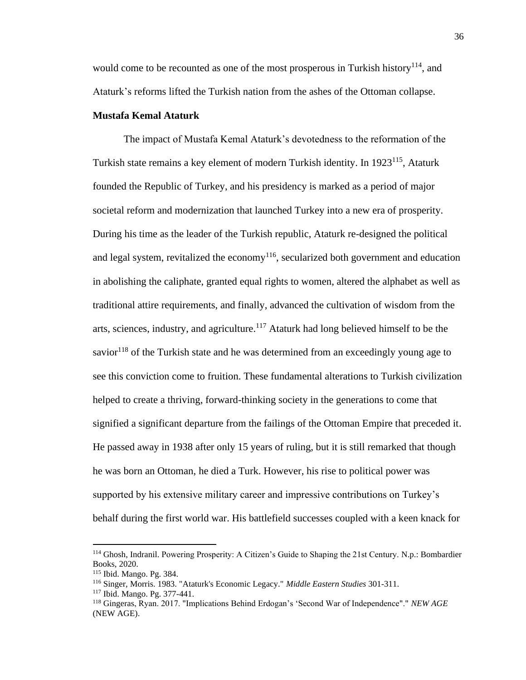would come to be recounted as one of the most prosperous in Turkish history<sup>114</sup>, and Ataturk's reforms lifted the Turkish nation from the ashes of the Ottoman collapse.

#### **Mustafa Kemal Ataturk**

The impact of Mustafa Kemal Ataturk's devotedness to the reformation of the Turkish state remains a key element of modern Turkish identity. In 1923<sup>115</sup>, Ataturk founded the Republic of Turkey, and his presidency is marked as a period of major societal reform and modernization that launched Turkey into a new era of prosperity. During his time as the leader of the Turkish republic, Ataturk re-designed the political and legal system, revitalized the economy<sup>116</sup>, secularized both government and education in abolishing the caliphate, granted equal rights to women, altered the alphabet as well as traditional attire requirements, and finally, advanced the cultivation of wisdom from the arts, sciences, industry, and agriculture.<sup>117</sup> Ataturk had long believed himself to be the savior<sup>118</sup> of the Turkish state and he was determined from an exceedingly young age to see this conviction come to fruition. These fundamental alterations to Turkish civilization helped to create a thriving, forward-thinking society in the generations to come that signified a significant departure from the failings of the Ottoman Empire that preceded it. He passed away in 1938 after only 15 years of ruling, but it is still remarked that though he was born an Ottoman, he died a Turk. However, his rise to political power was supported by his extensive military career and impressive contributions on Turkey's behalf during the first world war. His battlefield successes coupled with a keen knack for

<sup>114</sup> Ghosh, Indranil. Powering Prosperity: A Citizen's Guide to Shaping the 21st Century. N.p.: Bombardier Books, 2020.

<sup>115</sup> Ibid. Mango. Pg. 384.

<sup>116</sup> Singer, Morris. 1983. "Ataturk's Economic Legacy." *Middle Eastern Studies* 301-311.

<sup>117</sup> Ibid. Mango. Pg. 377-441.

<sup>118</sup> Gingeras, Ryan. 2017. "Implications Behind Erdogan's 'Second War of Independence"." *NEW AGE* (NEW AGE).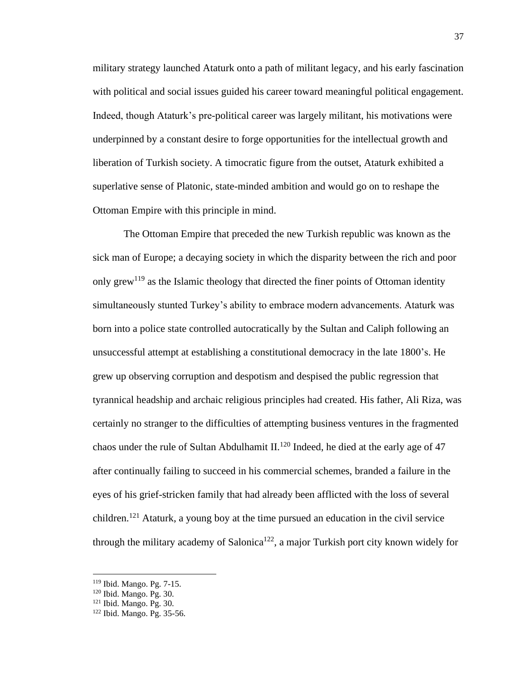military strategy launched Ataturk onto a path of militant legacy, and his early fascination with political and social issues guided his career toward meaningful political engagement. Indeed, though Ataturk's pre-political career was largely militant, his motivations were underpinned by a constant desire to forge opportunities for the intellectual growth and liberation of Turkish society. A timocratic figure from the outset, Ataturk exhibited a superlative sense of Platonic, state-minded ambition and would go on to reshape the Ottoman Empire with this principle in mind.

The Ottoman Empire that preceded the new Turkish republic was known as the sick man of Europe; a decaying society in which the disparity between the rich and poor only grew<sup>119</sup> as the Islamic theology that directed the finer points of Ottoman identity simultaneously stunted Turkey's ability to embrace modern advancements. Ataturk was born into a police state controlled autocratically by the Sultan and Caliph following an unsuccessful attempt at establishing a constitutional democracy in the late 1800's. He grew up observing corruption and despotism and despised the public regression that tyrannical headship and archaic religious principles had created. His father, Ali Riza, was certainly no stranger to the difficulties of attempting business ventures in the fragmented chaos under the rule of Sultan Abdulhamit II.<sup>120</sup> Indeed, he died at the early age of 47 after continually failing to succeed in his commercial schemes, branded a failure in the eyes of his grief-stricken family that had already been afflicted with the loss of several children.<sup>121</sup> Ataturk, a young boy at the time pursued an education in the civil service through the military academy of Salonica<sup>122</sup>, a major Turkish port city known widely for

<sup>119</sup> Ibid. Mango. Pg. 7-15.

<sup>120</sup> Ibid. Mango. Pg. 30.

<sup>121</sup> Ibid. Mango. Pg. 30.

<sup>122</sup> Ibid. Mango. Pg. 35-56.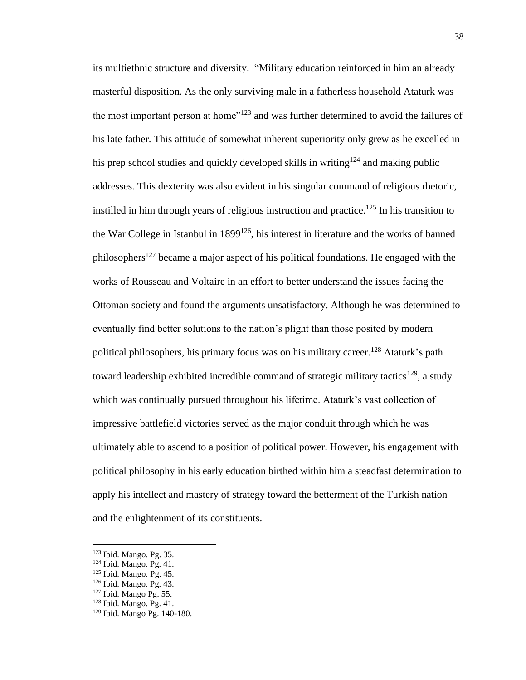its multiethnic structure and diversity. "Military education reinforced in him an already masterful disposition. As the only surviving male in a fatherless household Ataturk was the most important person at home<sup>"123</sup> and was further determined to avoid the failures of his late father. This attitude of somewhat inherent superiority only grew as he excelled in his prep school studies and quickly developed skills in writing<sup>124</sup> and making public addresses. This dexterity was also evident in his singular command of religious rhetoric, instilled in him through years of religious instruction and practice. <sup>125</sup> In his transition to the War College in Istanbul in 1899<sup>126</sup>, his interest in literature and the works of banned philosophers<sup>127</sup> became a major aspect of his political foundations. He engaged with the works of Rousseau and Voltaire in an effort to better understand the issues facing the Ottoman society and found the arguments unsatisfactory. Although he was determined to eventually find better solutions to the nation's plight than those posited by modern political philosophers, his primary focus was on his military career. <sup>128</sup> Ataturk's path toward leadership exhibited incredible command of strategic military tactics<sup>129</sup>, a study which was continually pursued throughout his lifetime. Ataturk's vast collection of impressive battlefield victories served as the major conduit through which he was ultimately able to ascend to a position of political power. However, his engagement with political philosophy in his early education birthed within him a steadfast determination to apply his intellect and mastery of strategy toward the betterment of the Turkish nation and the enlightenment of its constituents.

<sup>123</sup> Ibid. Mango. Pg. 35.

<sup>124</sup> Ibid. Mango. Pg. 41.

<sup>125</sup> Ibid. Mango. Pg. 45.

<sup>126</sup> Ibid. Mango. Pg. 43.

<sup>127</sup> Ibid. Mango Pg. 55.

<sup>128</sup> Ibid. Mango. Pg. 41.

<sup>129</sup> Ibid. Mango Pg. 140-180.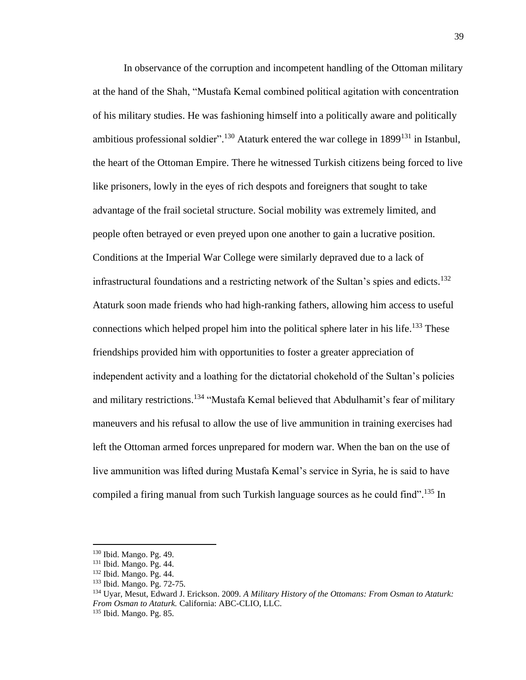In observance of the corruption and incompetent handling of the Ottoman military at the hand of the Shah, "Mustafa Kemal combined political agitation with concentration of his military studies. He was fashioning himself into a politically aware and politically ambitious professional soldier".<sup>130</sup> Ataturk entered the war college in 1899<sup>131</sup> in Istanbul, the heart of the Ottoman Empire. There he witnessed Turkish citizens being forced to live like prisoners, lowly in the eyes of rich despots and foreigners that sought to take advantage of the frail societal structure. Social mobility was extremely limited, and people often betrayed or even preyed upon one another to gain a lucrative position. Conditions at the Imperial War College were similarly depraved due to a lack of infrastructural foundations and a restricting network of the Sultan's spies and edicts. 132 Ataturk soon made friends who had high-ranking fathers, allowing him access to useful connections which helped propel him into the political sphere later in his life.<sup>133</sup> These friendships provided him with opportunities to foster a greater appreciation of independent activity and a loathing for the dictatorial chokehold of the Sultan's policies and military restrictions.<sup>134</sup> "Mustafa Kemal believed that Abdulhamit's fear of military maneuvers and his refusal to allow the use of live ammunition in training exercises had left the Ottoman armed forces unprepared for modern war. When the ban on the use of live ammunition was lifted during Mustafa Kemal's service in Syria, he is said to have compiled a firing manual from such Turkish language sources as he could find".<sup>135</sup> In

<sup>130</sup> Ibid. Mango. Pg. 49.

<sup>131</sup> Ibid. Mango. Pg. 44.

<sup>132</sup> Ibid. Mango. Pg. 44.

<sup>133</sup> Ibid. Mango. Pg. 72-75.

<sup>134</sup> Uyar, Mesut, Edward J. Erickson. 2009. *A Military History of the Ottomans: From Osman to Ataturk: From Osman to Ataturk.* California: ABC-CLIO, LLC. <sup>135</sup> Ibid. Mango. Pg. 85.

<sup>39</sup>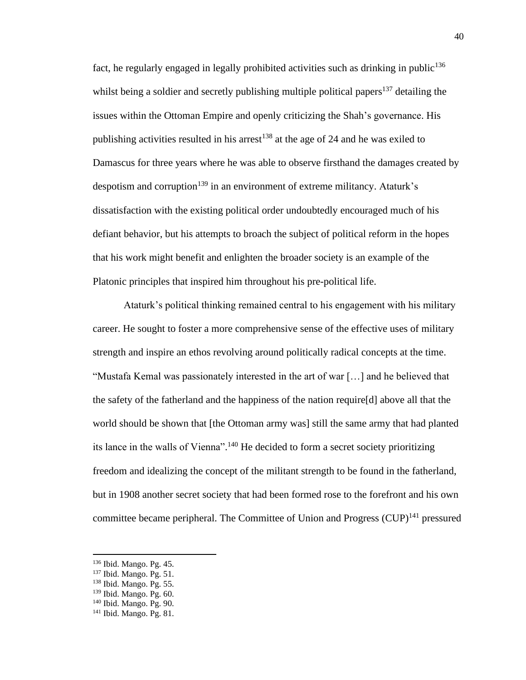fact, he regularly engaged in legally prohibited activities such as drinking in public<sup>136</sup> whilst being a soldier and secretly publishing multiple political papers<sup>137</sup> detailing the issues within the Ottoman Empire and openly criticizing the Shah's governance. His publishing activities resulted in his arrest<sup>138</sup> at the age of 24 and he was exiled to Damascus for three years where he was able to observe firsthand the damages created by despotism and corruption<sup>139</sup> in an environment of extreme militancy. Ataturk's dissatisfaction with the existing political order undoubtedly encouraged much of his defiant behavior, but his attempts to broach the subject of political reform in the hopes that his work might benefit and enlighten the broader society is an example of the Platonic principles that inspired him throughout his pre-political life.

Ataturk's political thinking remained central to his engagement with his military career. He sought to foster a more comprehensive sense of the effective uses of military strength and inspire an ethos revolving around politically radical concepts at the time. "Mustafa Kemal was passionately interested in the art of war […] and he believed that the safety of the fatherland and the happiness of the nation require[d] above all that the world should be shown that [the Ottoman army was] still the same army that had planted its lance in the walls of Vienna".<sup>140</sup> He decided to form a secret society prioritizing freedom and idealizing the concept of the militant strength to be found in the fatherland, but in 1908 another secret society that had been formed rose to the forefront and his own committee became peripheral. The Committee of Union and Progress  $(CUP)^{141}$  pressured

<sup>136</sup> Ibid. Mango. Pg. 45.

<sup>137</sup> Ibid. Mango. Pg. 51.

<sup>138</sup> Ibid. Mango. Pg. 55.

<sup>139</sup> Ibid. Mango. Pg. 60.

<sup>140</sup> Ibid. Mango. Pg. 90.

<sup>141</sup> Ibid. Mango. Pg. 81.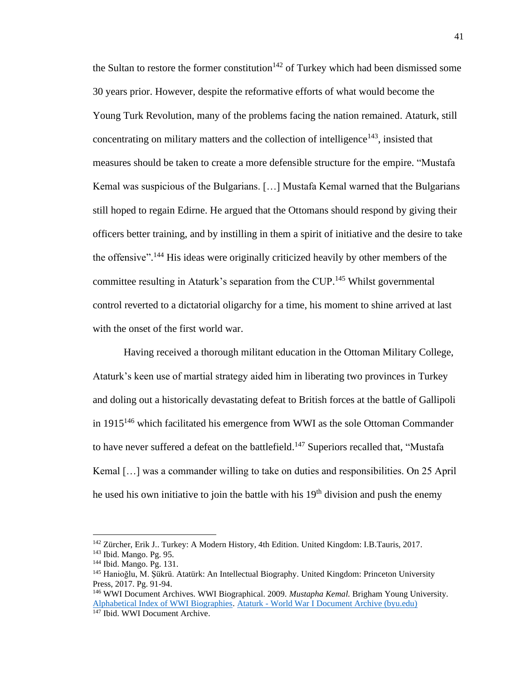the Sultan to restore the former constitution<sup>142</sup> of Turkey which had been dismissed some 30 years prior. However, despite the reformative efforts of what would become the Young Turk Revolution, many of the problems facing the nation remained. Ataturk, still concentrating on military matters and the collection of intelligence $143$ , insisted that measures should be taken to create a more defensible structure for the empire. "Mustafa Kemal was suspicious of the Bulgarians. […] Mustafa Kemal warned that the Bulgarians still hoped to regain Edirne. He argued that the Ottomans should respond by giving their officers better training, and by instilling in them a spirit of initiative and the desire to take the offensive".<sup>144</sup> His ideas were originally criticized heavily by other members of the committee resulting in Ataturk's separation from the CUP.<sup>145</sup> Whilst governmental control reverted to a dictatorial oligarchy for a time, his moment to shine arrived at last with the onset of the first world war.

Having received a thorough militant education in the Ottoman Military College, Ataturk's keen use of martial strategy aided him in liberating two provinces in Turkey and doling out a historically devastating defeat to British forces at the battle of Gallipoli in  $1915^{146}$  which facilitated his emergence from WWI as the sole Ottoman Commander to have never suffered a defeat on the battlefield.<sup>147</sup> Superiors recalled that, "Mustafa" Kemal […] was a commander willing to take on duties and responsibilities. On 25 April he used his own initiative to join the battle with his  $19<sup>th</sup>$  division and push the enemy

<sup>&</sup>lt;sup>142</sup> Zürcher, Erik J.. Turkey: A Modern History, 4th Edition. United Kingdom: I.B.Tauris, 2017.

<sup>143</sup> Ibid. Mango. Pg. 95.

<sup>144</sup> Ibid. Mango. Pg. 131.

<sup>145</sup> Hanioğlu, M. Şükrü. Atatürk: An Intellectual Biography. United Kingdom: Princeton University Press, 2017. Pg. 91-94.

<sup>146</sup> WWI Document Archives. WWI Biographical. 2009. *Mustapha Kemal.* Brigham Young University. [Alphabetical Index of WWI Biographies.](https://wwi.lib.byu.edu/index.php/WWI_Biographical_Dictionary) Ataturk - [World War I Document Archive \(byu.edu\)](https://wwi.lib.byu.edu/index.php/Ataturk) <sup>147</sup> Ibid. WWI Document Archive.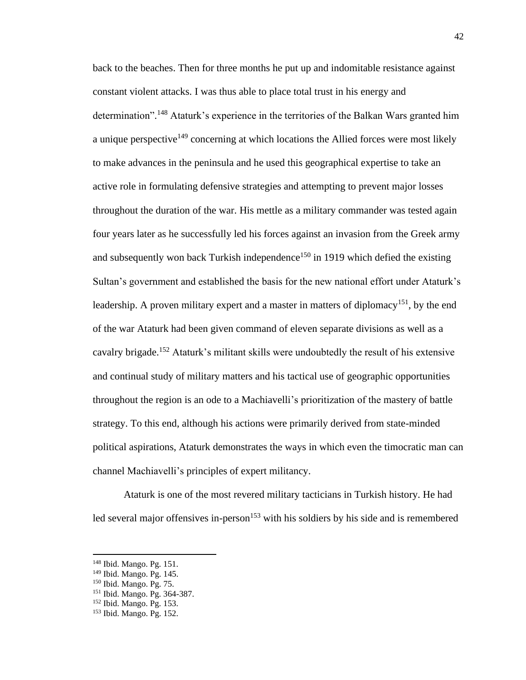back to the beaches. Then for three months he put up and indomitable resistance against constant violent attacks. I was thus able to place total trust in his energy and determination".<sup>148</sup> Ataturk's experience in the territories of the Balkan Wars granted him a unique perspective<sup>149</sup> concerning at which locations the Allied forces were most likely to make advances in the peninsula and he used this geographical expertise to take an active role in formulating defensive strategies and attempting to prevent major losses throughout the duration of the war. His mettle as a military commander was tested again four years later as he successfully led his forces against an invasion from the Greek army and subsequently won back Turkish independence<sup>150</sup> in 1919 which defied the existing Sultan's government and established the basis for the new national effort under Ataturk's leadership. A proven military expert and a master in matters of diplomacy<sup>151</sup>, by the end of the war Ataturk had been given command of eleven separate divisions as well as a cavalry brigade.<sup>152</sup> Ataturk's militant skills were undoubtedly the result of his extensive and continual study of military matters and his tactical use of geographic opportunities throughout the region is an ode to a Machiavelli's prioritization of the mastery of battle strategy. To this end, although his actions were primarily derived from state-minded political aspirations, Ataturk demonstrates the ways in which even the timocratic man can channel Machiavelli's principles of expert militancy.

Ataturk is one of the most revered military tacticians in Turkish history. He had led several major offensives in-person $153$  with his soldiers by his side and is remembered

<sup>148</sup> Ibid. Mango. Pg. 151.

<sup>149</sup> Ibid. Mango. Pg. 145.

<sup>150</sup> Ibid. Mango. Pg. 75.

<sup>151</sup> Ibid. Mango. Pg. 364-387.

<sup>152</sup> Ibid. Mango. Pg. 153. <sup>153</sup> Ibid. Mango. Pg. 152.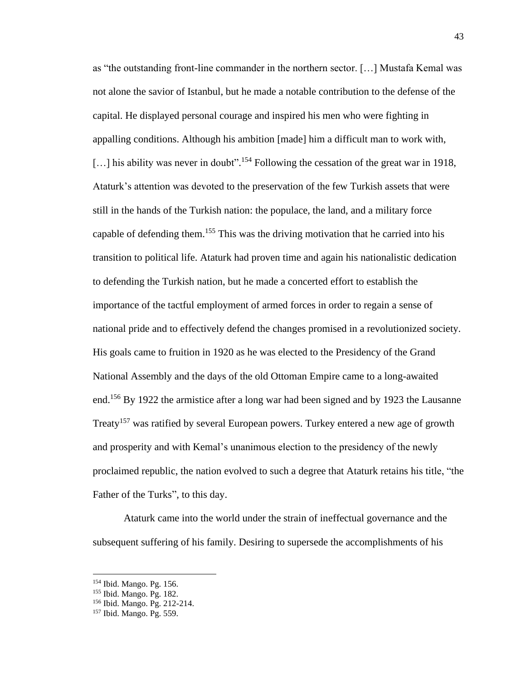as "the outstanding front-line commander in the northern sector. […] Mustafa Kemal was not alone the savior of Istanbul, but he made a notable contribution to the defense of the capital. He displayed personal courage and inspired his men who were fighting in appalling conditions. Although his ambition [made] him a difficult man to work with, [...] his ability was never in doubt".<sup>154</sup> Following the cessation of the great war in 1918, Ataturk's attention was devoted to the preservation of the few Turkish assets that were still in the hands of the Turkish nation: the populace, the land, and a military force capable of defending them.<sup>155</sup> This was the driving motivation that he carried into his transition to political life. Ataturk had proven time and again his nationalistic dedication to defending the Turkish nation, but he made a concerted effort to establish the importance of the tactful employment of armed forces in order to regain a sense of national pride and to effectively defend the changes promised in a revolutionized society. His goals came to fruition in 1920 as he was elected to the Presidency of the Grand National Assembly and the days of the old Ottoman Empire came to a long-awaited end.<sup>156</sup> By 1922 the armistice after a long war had been signed and by 1923 the Lausanne Treaty<sup>157</sup> was ratified by several European powers. Turkey entered a new age of growth and prosperity and with Kemal's unanimous election to the presidency of the newly proclaimed republic, the nation evolved to such a degree that Ataturk retains his title, "the Father of the Turks", to this day.

Ataturk came into the world under the strain of ineffectual governance and the subsequent suffering of his family. Desiring to supersede the accomplishments of his

<sup>154</sup> Ibid. Mango. Pg. 156.

<sup>155</sup> Ibid. Mango. Pg. 182.

<sup>156</sup> Ibid. Mango. Pg. 212-214.

<sup>157</sup> Ibid. Mango. Pg. 559.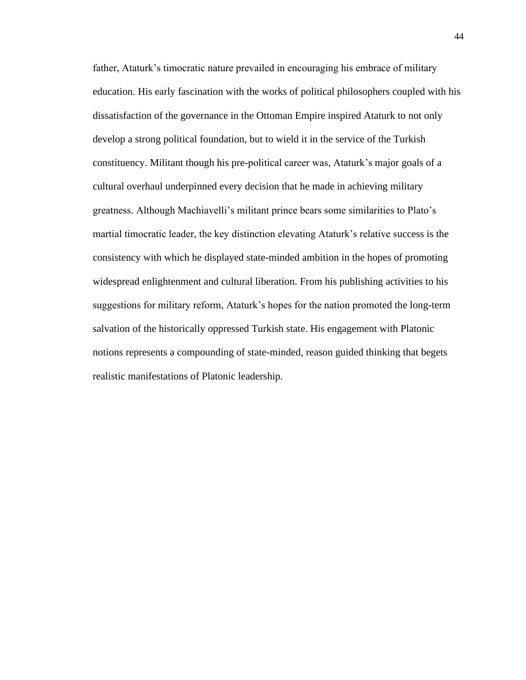father, Ataturk's timocratic nature prevailed in encouraging his embrace of military education. His early fascination with the works of political philosophers coupled with his dissatisfaction of the governance in the Ottoman Empire inspired Ataturk to not only develop a strong political foundation, but to wield it in the service of the Turkish constituency. Militant though his pre-political career was, Ataturk's major goals of a cultural overhaul underpinned every decision that he made in achieving military greatness. Although Machiavelli's militant prince bears some similarities to Plato's martial timocratic leader, the key distinction elevating Ataturk's relative success is the consistency with which he displayed state-minded ambition in the hopes of promoting widespread enlightenment and cultural liberation. From his publishing activities to his suggestions for military reform, Ataturk's hopes for the nation promoted the long-term salvation of the historically oppressed Turkish state. His engagement with Platonic notions represents a compounding of state-minded, reason guided thinking that begets realistic manifestations of Platonic leadership.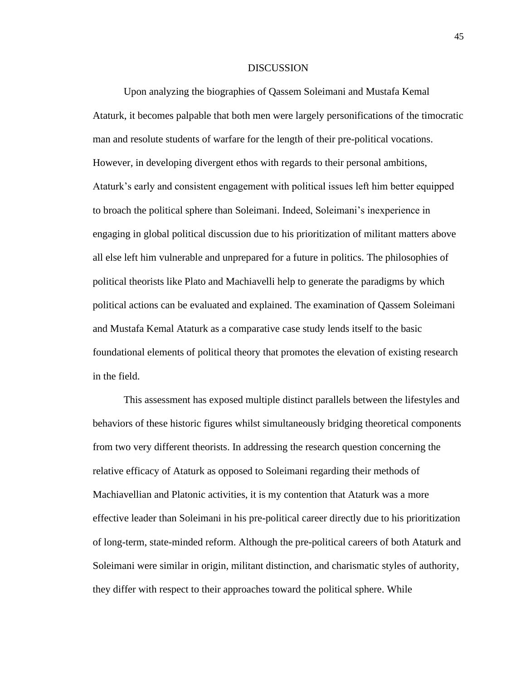#### DISCUSSION

Upon analyzing the biographies of Qassem Soleimani and Mustafa Kemal Ataturk, it becomes palpable that both men were largely personifications of the timocratic man and resolute students of warfare for the length of their pre-political vocations. However, in developing divergent ethos with regards to their personal ambitions, Ataturk's early and consistent engagement with political issues left him better equipped to broach the political sphere than Soleimani. Indeed, Soleimani's inexperience in engaging in global political discussion due to his prioritization of militant matters above all else left him vulnerable and unprepared for a future in politics. The philosophies of political theorists like Plato and Machiavelli help to generate the paradigms by which political actions can be evaluated and explained. The examination of Qassem Soleimani and Mustafa Kemal Ataturk as a comparative case study lends itself to the basic foundational elements of political theory that promotes the elevation of existing research in the field.

This assessment has exposed multiple distinct parallels between the lifestyles and behaviors of these historic figures whilst simultaneously bridging theoretical components from two very different theorists. In addressing the research question concerning the relative efficacy of Ataturk as opposed to Soleimani regarding their methods of Machiavellian and Platonic activities, it is my contention that Ataturk was a more effective leader than Soleimani in his pre-political career directly due to his prioritization of long-term, state-minded reform. Although the pre-political careers of both Ataturk and Soleimani were similar in origin, militant distinction, and charismatic styles of authority, they differ with respect to their approaches toward the political sphere. While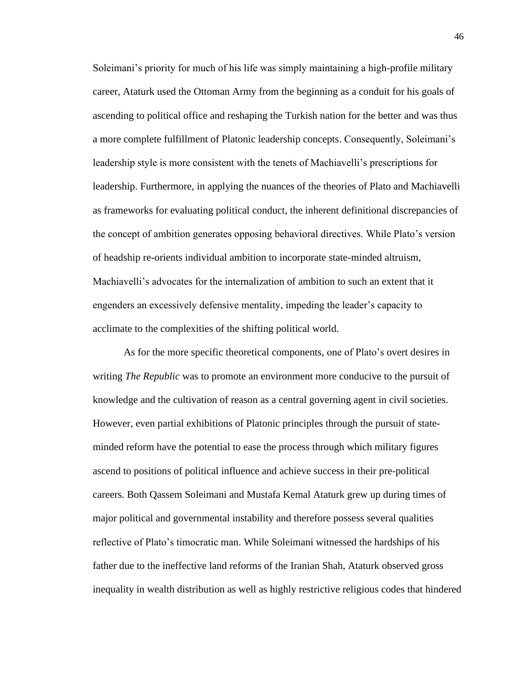Soleimani's priority for much of his life was simply maintaining a high-profile military career, Ataturk used the Ottoman Army from the beginning as a conduit for his goals of ascending to political office and reshaping the Turkish nation for the better and was thus a more complete fulfillment of Platonic leadership concepts. Consequently, Soleimani's leadership style is more consistent with the tenets of Machiavelli's prescriptions for leadership. Furthermore, in applying the nuances of the theories of Plato and Machiavelli as frameworks for evaluating political conduct, the inherent definitional discrepancies of the concept of ambition generates opposing behavioral directives. While Plato's version of headship re-orients individual ambition to incorporate state-minded altruism, Machiavelli's advocates for the internalization of ambition to such an extent that it engenders an excessively defensive mentality, impeding the leader's capacity to acclimate to the complexities of the shifting political world.

As for the more specific theoretical components, one of Plato's overt desires in writing *The Republic* was to promote an environment more conducive to the pursuit of knowledge and the cultivation of reason as a central governing agent in civil societies. However, even partial exhibitions of Platonic principles through the pursuit of stateminded reform have the potential to ease the process through which military figures ascend to positions of political influence and achieve success in their pre-political careers. Both Qassem Soleimani and Mustafa Kemal Ataturk grew up during times of major political and governmental instability and therefore possess several qualities reflective of Plato's timocratic man. While Soleimani witnessed the hardships of his father due to the ineffective land reforms of the Iranian Shah, Ataturk observed gross inequality in wealth distribution as well as highly restrictive religious codes that hindered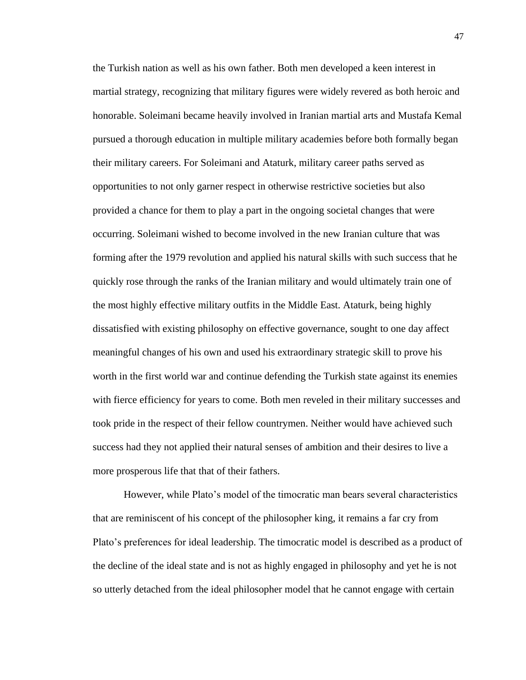the Turkish nation as well as his own father. Both men developed a keen interest in martial strategy, recognizing that military figures were widely revered as both heroic and honorable. Soleimani became heavily involved in Iranian martial arts and Mustafa Kemal pursued a thorough education in multiple military academies before both formally began their military careers. For Soleimani and Ataturk, military career paths served as opportunities to not only garner respect in otherwise restrictive societies but also provided a chance for them to play a part in the ongoing societal changes that were occurring. Soleimani wished to become involved in the new Iranian culture that was forming after the 1979 revolution and applied his natural skills with such success that he quickly rose through the ranks of the Iranian military and would ultimately train one of the most highly effective military outfits in the Middle East. Ataturk, being highly dissatisfied with existing philosophy on effective governance, sought to one day affect meaningful changes of his own and used his extraordinary strategic skill to prove his worth in the first world war and continue defending the Turkish state against its enemies with fierce efficiency for years to come. Both men reveled in their military successes and took pride in the respect of their fellow countrymen. Neither would have achieved such success had they not applied their natural senses of ambition and their desires to live a more prosperous life that that of their fathers.

However, while Plato's model of the timocratic man bears several characteristics that are reminiscent of his concept of the philosopher king, it remains a far cry from Plato's preferences for ideal leadership. The timocratic model is described as a product of the decline of the ideal state and is not as highly engaged in philosophy and yet he is not so utterly detached from the ideal philosopher model that he cannot engage with certain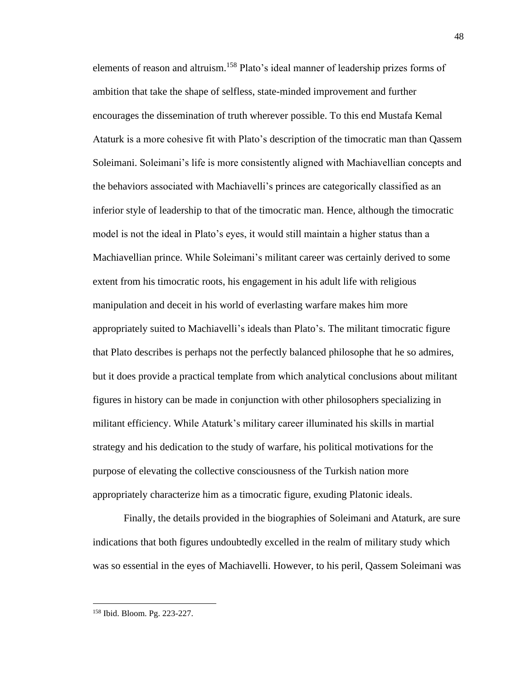elements of reason and altruism.<sup>158</sup> Plato's ideal manner of leadership prizes forms of ambition that take the shape of selfless, state-minded improvement and further encourages the dissemination of truth wherever possible. To this end Mustafa Kemal Ataturk is a more cohesive fit with Plato's description of the timocratic man than Qassem Soleimani. Soleimani's life is more consistently aligned with Machiavellian concepts and the behaviors associated with Machiavelli's princes are categorically classified as an inferior style of leadership to that of the timocratic man. Hence, although the timocratic model is not the ideal in Plato's eyes, it would still maintain a higher status than a Machiavellian prince. While Soleimani's militant career was certainly derived to some extent from his timocratic roots, his engagement in his adult life with religious manipulation and deceit in his world of everlasting warfare makes him more appropriately suited to Machiavelli's ideals than Plato's. The militant timocratic figure that Plato describes is perhaps not the perfectly balanced philosophe that he so admires, but it does provide a practical template from which analytical conclusions about militant figures in history can be made in conjunction with other philosophers specializing in militant efficiency. While Ataturk's military career illuminated his skills in martial strategy and his dedication to the study of warfare, his political motivations for the purpose of elevating the collective consciousness of the Turkish nation more appropriately characterize him as a timocratic figure, exuding Platonic ideals.

Finally, the details provided in the biographies of Soleimani and Ataturk, are sure indications that both figures undoubtedly excelled in the realm of military study which was so essential in the eyes of Machiavelli. However, to his peril, Qassem Soleimani was

48

<sup>158</sup> Ibid. Bloom. Pg. 223-227.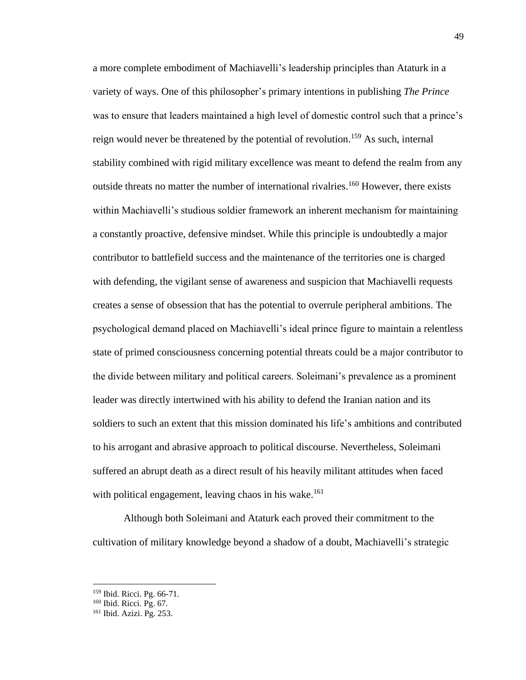a more complete embodiment of Machiavelli's leadership principles than Ataturk in a variety of ways. One of this philosopher's primary intentions in publishing *The Prince* was to ensure that leaders maintained a high level of domestic control such that a prince's reign would never be threatened by the potential of revolution.<sup>159</sup> As such, internal stability combined with rigid military excellence was meant to defend the realm from any outside threats no matter the number of international rivalries.<sup>160</sup> However, there exists within Machiavelli's studious soldier framework an inherent mechanism for maintaining a constantly proactive, defensive mindset. While this principle is undoubtedly a major contributor to battlefield success and the maintenance of the territories one is charged with defending, the vigilant sense of awareness and suspicion that Machiavelli requests creates a sense of obsession that has the potential to overrule peripheral ambitions. The psychological demand placed on Machiavelli's ideal prince figure to maintain a relentless state of primed consciousness concerning potential threats could be a major contributor to the divide between military and political careers. Soleimani's prevalence as a prominent leader was directly intertwined with his ability to defend the Iranian nation and its soldiers to such an extent that this mission dominated his life's ambitions and contributed to his arrogant and abrasive approach to political discourse. Nevertheless, Soleimani suffered an abrupt death as a direct result of his heavily militant attitudes when faced with political engagement, leaving chaos in his wake.<sup>161</sup>

Although both Soleimani and Ataturk each proved their commitment to the cultivation of military knowledge beyond a shadow of a doubt, Machiavelli's strategic

<sup>159</sup> Ibid. Ricci. Pg. 66-71.

<sup>160</sup> Ibid. Ricci. Pg. 67.

<sup>161</sup> Ibid. Azizi. Pg. 253.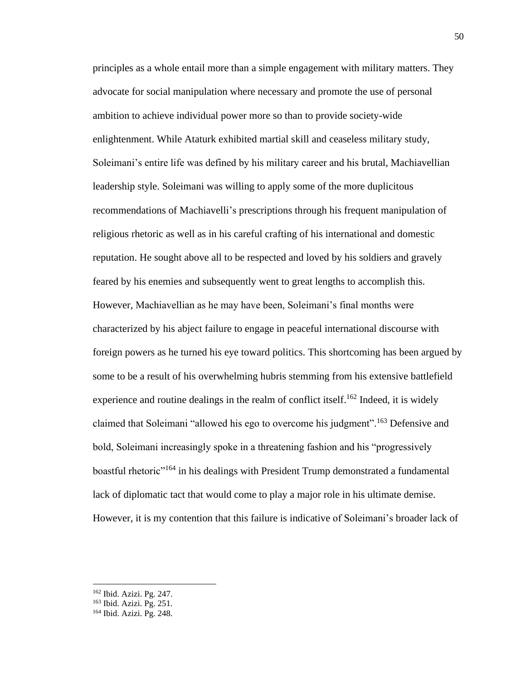principles as a whole entail more than a simple engagement with military matters. They advocate for social manipulation where necessary and promote the use of personal ambition to achieve individual power more so than to provide society-wide enlightenment. While Ataturk exhibited martial skill and ceaseless military study, Soleimani's entire life was defined by his military career and his brutal, Machiavellian leadership style. Soleimani was willing to apply some of the more duplicitous recommendations of Machiavelli's prescriptions through his frequent manipulation of religious rhetoric as well as in his careful crafting of his international and domestic reputation. He sought above all to be respected and loved by his soldiers and gravely feared by his enemies and subsequently went to great lengths to accomplish this. However, Machiavellian as he may have been, Soleimani's final months were characterized by his abject failure to engage in peaceful international discourse with foreign powers as he turned his eye toward politics. This shortcoming has been argued by some to be a result of his overwhelming hubris stemming from his extensive battlefield experience and routine dealings in the realm of conflict itself.<sup>162</sup> Indeed, it is widely claimed that Soleimani "allowed his ego to overcome his judgment".<sup>163</sup> Defensive and bold, Soleimani increasingly spoke in a threatening fashion and his "progressively boastful rhetoric<sup>"164</sup> in his dealings with President Trump demonstrated a fundamental lack of diplomatic tact that would come to play a major role in his ultimate demise. However, it is my contention that this failure is indicative of Soleimani's broader lack of

<sup>162</sup> Ibid. Azizi. Pg. 247.

<sup>163</sup> Ibid. Azizi. Pg. 251.

<sup>164</sup> Ibid. Azizi. Pg. 248.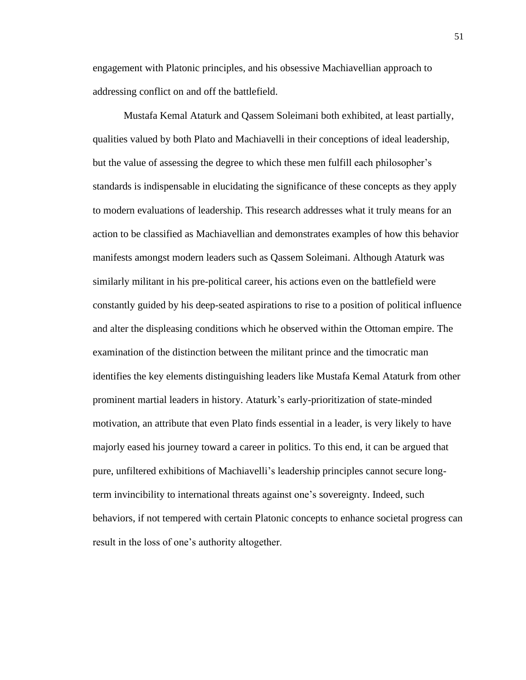engagement with Platonic principles, and his obsessive Machiavellian approach to addressing conflict on and off the battlefield.

Mustafa Kemal Ataturk and Qassem Soleimani both exhibited, at least partially, qualities valued by both Plato and Machiavelli in their conceptions of ideal leadership, but the value of assessing the degree to which these men fulfill each philosopher's standards is indispensable in elucidating the significance of these concepts as they apply to modern evaluations of leadership. This research addresses what it truly means for an action to be classified as Machiavellian and demonstrates examples of how this behavior manifests amongst modern leaders such as Qassem Soleimani. Although Ataturk was similarly militant in his pre-political career, his actions even on the battlefield were constantly guided by his deep-seated aspirations to rise to a position of political influence and alter the displeasing conditions which he observed within the Ottoman empire. The examination of the distinction between the militant prince and the timocratic man identifies the key elements distinguishing leaders like Mustafa Kemal Ataturk from other prominent martial leaders in history. Ataturk's early-prioritization of state-minded motivation, an attribute that even Plato finds essential in a leader, is very likely to have majorly eased his journey toward a career in politics. To this end, it can be argued that pure, unfiltered exhibitions of Machiavelli's leadership principles cannot secure longterm invincibility to international threats against one's sovereignty. Indeed, such behaviors, if not tempered with certain Platonic concepts to enhance societal progress can result in the loss of one's authority altogether.

51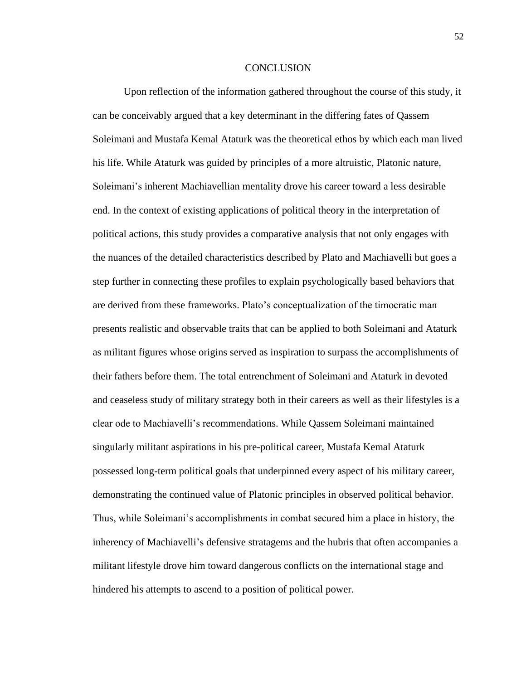#### CONCLUSION

Upon reflection of the information gathered throughout the course of this study, it can be conceivably argued that a key determinant in the differing fates of Qassem Soleimani and Mustafa Kemal Ataturk was the theoretical ethos by which each man lived his life. While Ataturk was guided by principles of a more altruistic, Platonic nature, Soleimani's inherent Machiavellian mentality drove his career toward a less desirable end. In the context of existing applications of political theory in the interpretation of political actions, this study provides a comparative analysis that not only engages with the nuances of the detailed characteristics described by Plato and Machiavelli but goes a step further in connecting these profiles to explain psychologically based behaviors that are derived from these frameworks. Plato's conceptualization of the timocratic man presents realistic and observable traits that can be applied to both Soleimani and Ataturk as militant figures whose origins served as inspiration to surpass the accomplishments of their fathers before them. The total entrenchment of Soleimani and Ataturk in devoted and ceaseless study of military strategy both in their careers as well as their lifestyles is a clear ode to Machiavelli's recommendations. While Qassem Soleimani maintained singularly militant aspirations in his pre-political career, Mustafa Kemal Ataturk possessed long-term political goals that underpinned every aspect of his military career, demonstrating the continued value of Platonic principles in observed political behavior. Thus, while Soleimani's accomplishments in combat secured him a place in history, the inherency of Machiavelli's defensive stratagems and the hubris that often accompanies a militant lifestyle drove him toward dangerous conflicts on the international stage and hindered his attempts to ascend to a position of political power.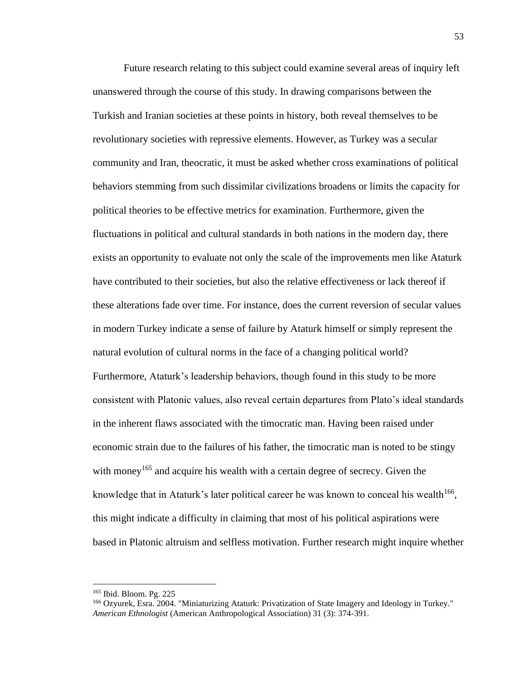Future research relating to this subject could examine several areas of inquiry left unanswered through the course of this study. In drawing comparisons between the Turkish and Iranian societies at these points in history, both reveal themselves to be revolutionary societies with repressive elements. However, as Turkey was a secular community and Iran, theocratic, it must be asked whether cross examinations of political behaviors stemming from such dissimilar civilizations broadens or limits the capacity for political theories to be effective metrics for examination. Furthermore, given the fluctuations in political and cultural standards in both nations in the modern day, there exists an opportunity to evaluate not only the scale of the improvements men like Ataturk have contributed to their societies, but also the relative effectiveness or lack thereof if these alterations fade over time. For instance, does the current reversion of secular values in modern Turkey indicate a sense of failure by Ataturk himself or simply represent the natural evolution of cultural norms in the face of a changing political world? Furthermore, Ataturk's leadership behaviors, though found in this study to be more consistent with Platonic values, also reveal certain departures from Plato's ideal standards in the inherent flaws associated with the timocratic man. Having been raised under economic strain due to the failures of his father, the timocratic man is noted to be stingy with money<sup>165</sup> and acquire his wealth with a certain degree of secrecy. Given the knowledge that in Ataturk's later political career he was known to conceal his wealth $166$ , this might indicate a difficulty in claiming that most of his political aspirations were based in Platonic altruism and selfless motivation. Further research might inquire whether

<sup>165</sup> Ibid. Bloom. Pg. 225

<sup>166</sup> Ozyurek, Esra. 2004. "Miniaturizing Ataturk: Privatization of State Imagery and Ideology in Turkey." *American Ethnologist* (American Anthropological Association) 31 (3): 374-391.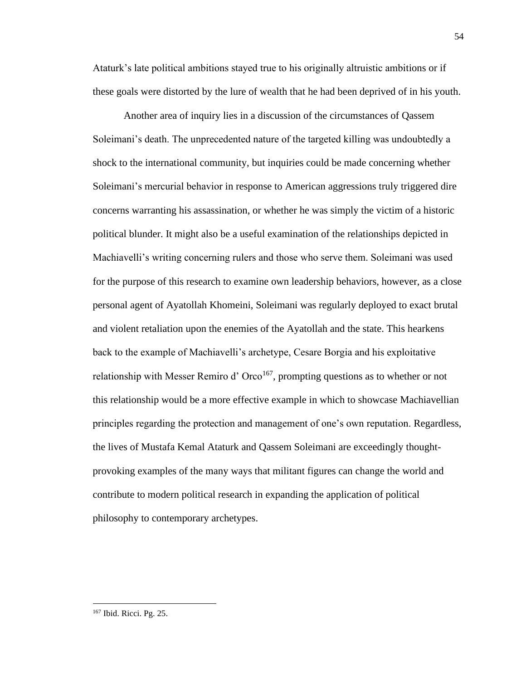Ataturk's late political ambitions stayed true to his originally altruistic ambitions or if these goals were distorted by the lure of wealth that he had been deprived of in his youth.

Another area of inquiry lies in a discussion of the circumstances of Qassem Soleimani's death. The unprecedented nature of the targeted killing was undoubtedly a shock to the international community, but inquiries could be made concerning whether Soleimani's mercurial behavior in response to American aggressions truly triggered dire concerns warranting his assassination, or whether he was simply the victim of a historic political blunder. It might also be a useful examination of the relationships depicted in Machiavelli's writing concerning rulers and those who serve them. Soleimani was used for the purpose of this research to examine own leadership behaviors, however, as a close personal agent of Ayatollah Khomeini, Soleimani was regularly deployed to exact brutal and violent retaliation upon the enemies of the Ayatollah and the state. This hearkens back to the example of Machiavelli's archetype, Cesare Borgia and his exploitative relationship with Messer Remiro d'  $Orco<sup>167</sup>$ , prompting questions as to whether or not this relationship would be a more effective example in which to showcase Machiavellian principles regarding the protection and management of one's own reputation. Regardless, the lives of Mustafa Kemal Ataturk and Qassem Soleimani are exceedingly thoughtprovoking examples of the many ways that militant figures can change the world and contribute to modern political research in expanding the application of political philosophy to contemporary archetypes.

<sup>167</sup> Ibid. Ricci. Pg. 25.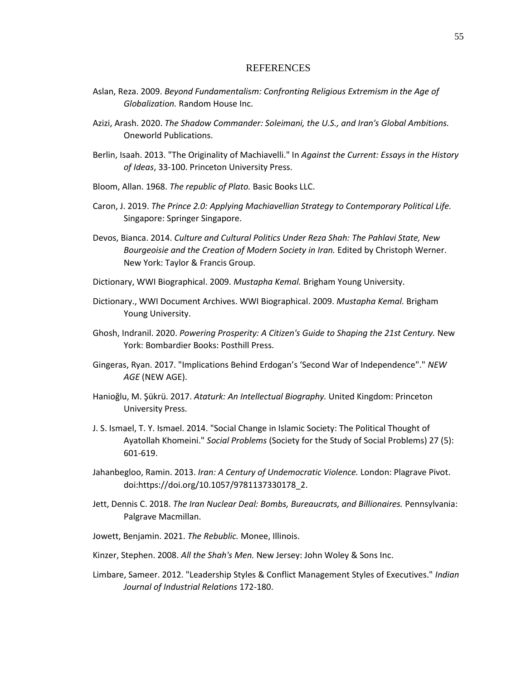#### **REFERENCES**

- Aslan, Reza. 2009. *Beyond Fundamentalism: Confronting Religious Extremism in the Age of Globalization.* Random House Inc.
- Azizi, Arash. 2020. *The Shadow Commander: Soleimani, the U.S., and Iran's Global Ambitions.* Oneworld Publications.
- Berlin, Isaah. 2013. "The Originality of Machiavelli." In *Against the Current: Essays in the History of Ideas*, 33-100. Princeton University Press.
- Bloom, Allan. 1968. *The republic of Plato.* Basic Books LLC.
- Caron, J. 2019. *The Prince 2.0: Applying Machiavellian Strategy to Contemporary Political Life.* Singapore: Springer Singapore.
- Devos, Bianca. 2014. *Culture and Cultural Politics Under Reza Shah: The Pahlavi State, New Bourgeoisie and the Creation of Modern Society in Iran.* Edited by Christoph Werner. New York: Taylor & Francis Group.
- Dictionary, WWI Biographical. 2009. *Mustapha Kemal.* Brigham Young University.
- Dictionary., WWI Document Archives. WWI Biographical. 2009. *Mustapha Kemal.* Brigham Young University.
- Ghosh, Indranil. 2020. *Powering Prosperity: A Citizen's Guide to Shaping the 21st Century.* New York: Bombardier Books: Posthill Press.
- Gingeras, Ryan. 2017. "Implications Behind Erdogan's 'Second War of Independence"." *NEW AGE* (NEW AGE).
- Hanioğlu, M. Şükrü. 2017. *Ataturk: An Intellectual Biography.* United Kingdom: Princeton University Press.
- J. S. Ismael, T. Y. Ismael. 2014. "Social Change in Islamic Society: The Political Thought of Ayatollah Khomeini." *Social Problems* (Society for the Study of Social Problems) 27 (5): 601-619.
- Jahanbegloo, Ramin. 2013. *Iran: A Century of Undemocratic Violence.* London: Plagrave Pivot. doi:https://doi.org/10.1057/9781137330178\_2.
- Jett, Dennis C. 2018. *The Iran Nuclear Deal: Bombs, Bureaucrats, and Billionaires.* Pennsylvania: Palgrave Macmillan.
- Jowett, Benjamin. 2021. *The Rebublic.* Monee, Illinois.
- Kinzer, Stephen. 2008. *All the Shah's Men.* New Jersey: John Woley & Sons Inc.
- Limbare, Sameer. 2012. "Leadership Styles & Conflict Management Styles of Executives." *Indian Journal of Industrial Relations* 172-180.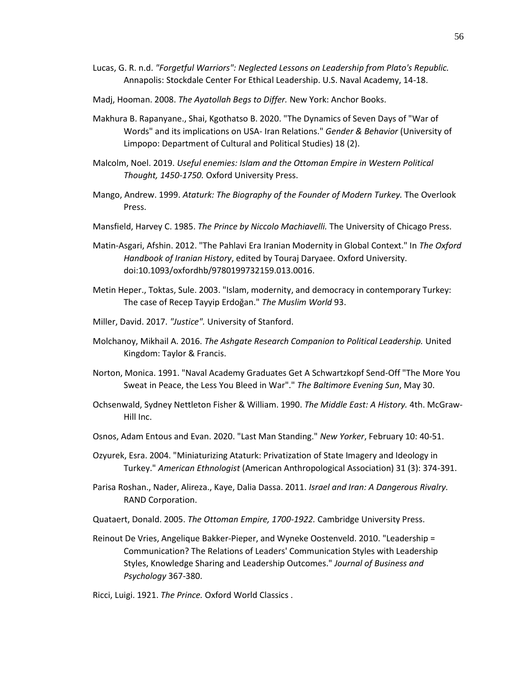- Lucas, G. R. n.d. *"Forgetful Warriors": Neglected Lessons on Leadership from Plato's Republic.* Annapolis: Stockdale Center For Ethical Leadership. U.S. Naval Academy, 14-18.
- Madj, Hooman. 2008. *The Ayatollah Begs to Differ.* New York: Anchor Books.
- Makhura B. Rapanyane., Shai, Kgothatso B. 2020. "The Dynamics of Seven Days of "War of Words" and its implications on USA- Iran Relations." *Gender & Behavior* (University of Limpopo: Department of Cultural and Political Studies) 18 (2).
- Malcolm, Noel. 2019. *Useful enemies: Islam and the Ottoman Empire in Western Political Thought, 1450-1750.* Oxford University Press.
- Mango, Andrew. 1999. *Ataturk: The Biography of the Founder of Modern Turkey.* The Overlook Press.
- Mansfield, Harvey C. 1985. *The Prince by Niccolo Machiavelli.* The University of Chicago Press.
- Matin-Asgari, Afshin. 2012. "The Pahlavi Era Iranian Modernity in Global Context." In *The Oxford Handbook of Iranian History*, edited by Touraj Daryaee. Oxford University. doi:10.1093/oxfordhb/9780199732159.013.0016.
- Metin Heper., Toktas, Sule. 2003. "Islam, modernity, and democracy in contemporary Turkey: The case of Recep Tayyip Erdoğan." *The Muslim World* 93.
- Miller, David. 2017. *"Justice".* University of Stanford.
- Molchanoy, Mikhail A. 2016. *The Ashgate Research Companion to Political Leadership.* United Kingdom: Taylor & Francis.
- Norton, Monica. 1991. "Naval Academy Graduates Get A Schwartzkopf Send-Off "The More You Sweat in Peace, the Less You Bleed in War"." *The Baltimore Evening Sun*, May 30.
- Ochsenwald, Sydney Nettleton Fisher & William. 1990. *The Middle East: A History.* 4th. McGraw-Hill Inc.
- Osnos, Adam Entous and Evan. 2020. "Last Man Standing." *New Yorker*, February 10: 40-51.
- Ozyurek, Esra. 2004. "Miniaturizing Ataturk: Privatization of State Imagery and Ideology in Turkey." *American Ethnologist* (American Anthropological Association) 31 (3): 374-391.
- Parisa Roshan., Nader, Alireza., Kaye, Dalia Dassa. 2011. *Israel and Iran: A Dangerous Rivalry.* RAND Corporation.
- Quataert, Donald. 2005. *The Ottoman Empire, 1700-1922.* Cambridge University Press.
- Reinout De Vries, Angelique Bakker-Pieper, and Wyneke Oostenveld. 2010. "Leadership = Communication? The Relations of Leaders' Communication Styles with Leadership Styles, Knowledge Sharing and Leadership Outcomes." *Journal of Business and Psychology* 367-380.
- Ricci, Luigi. 1921. *The Prince.* Oxford World Classics .